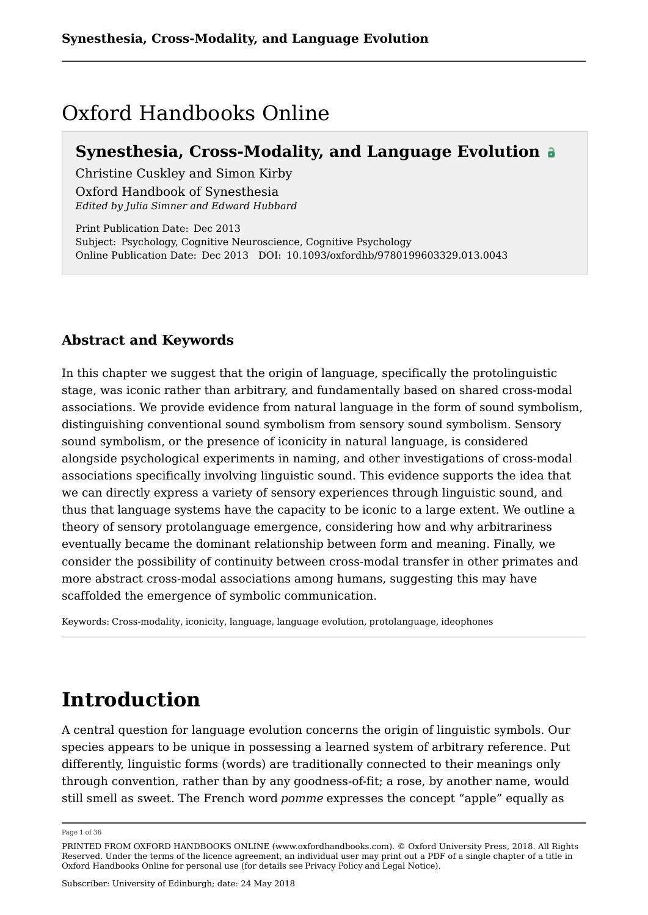# Oxford Handbooks Online

# **Synesthesia, Cross-Modality, and Language Evolution**

Christine Cuskley and Simon Kirby Oxford Handbook of Synesthesia *Edited by Julia Simner and Edward Hubbard*

Print Publication Date: Dec 2013 Subject: Psychology, Cognitive Neuroscience, Cognitive Psychology Online Publication Date: Dec 2013 DOI: 10.1093/oxfordhb/9780199603329.013.0043

# **Abstract and Keywords**

In this chapter we suggest that the origin of language, specifically the protolinguistic stage, was iconic rather than arbitrary, and fundamentally based on shared cross-modal associations. We provide evidence from natural language in the form of sound symbolism, distinguishing conventional sound symbolism from sensory sound symbolism. Sensory sound symbolism, or the presence of iconicity in natural language, is considered alongside psychological experiments in naming, and other investigations of cross-modal associations specifically involving linguistic sound. This evidence supports the idea that we can directly express a variety of sensory experiences through linguistic sound, and thus that language systems have the capacity to be iconic to a large extent. We outline a theory of sensory protolanguage emergence, considering how and why arbitrariness eventually became the dominant relationship between form and meaning. Finally, we consider the possibility of continuity between cross-modal transfer in other primates and more abstract cross-modal associations among humans, suggesting this may have scaffolded the emergence of symbolic communication.

Keywords: Cross-modality, iconicity, language, language evolution, protolanguage, ideophones

# **Introduction**

A central question for language evolution concerns the origin of linguistic symbols. Our species appears to be unique in possessing a learned system of arbitrary reference. Put differently, linguistic forms (words) are traditionally connected to their meanings only through convention, rather than by any goodness-of-fit; a rose, by another name, would still smell as sweet. The French word *pomme* expresses the concept "apple" equally as

Page 1 of 36

PRINTED FROM OXFORD HANDBOOKS ONLINE (www.oxfordhandbooks.com). © Oxford University Press, 2018. All Rights Reserved. Under the terms of the licence agreement, an individual user may print out a PDF of a single chapter of a title in Oxford Handbooks Online for personal use (for details see Privacy Policy and Legal Notice).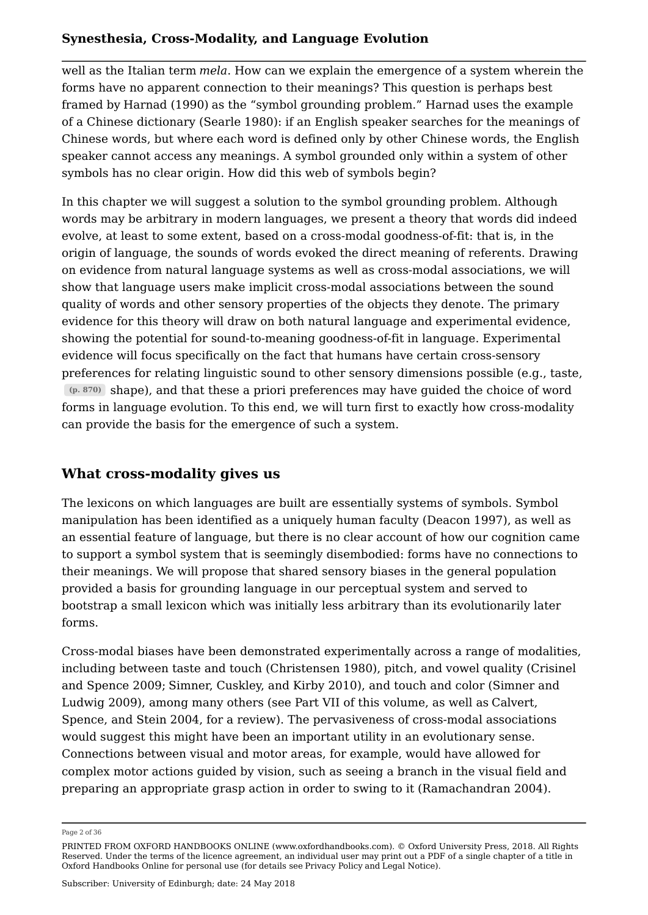well as the Italian term *mela*. How can we explain the emergence of a system wherein the forms have no apparent connection to their meanings? This question is perhaps best framed by Harnad (1990) as the "symbol grounding problem." Harnad uses the example of a Chinese dictionary (Searle 1980): if an English speaker searches for the meanings of Chinese words, but where each word is defined only by other Chinese words, the English speaker cannot access any meanings. A symbol grounded only within a system of other symbols has no clear origin. How did this web of symbols begin?

In this chapter we will suggest a solution to the symbol grounding problem. Although words may be arbitrary in modern languages, we present a theory that words did indeed evolve, at least to some extent, based on a cross-modal goodness-of-fit: that is, in the origin of language, the sounds of words evoked the direct meaning of referents. Drawing on evidence from natural language systems as well as cross-modal associations, we will show that language users make implicit cross-modal associations between the sound quality of words and other sensory properties of the objects they denote. The primary evidence for this theory will draw on both natural language and experimental evidence, showing the potential for sound-to-meaning goodness-of-fit in language. Experimental evidence will focus specifically on the fact that humans have certain cross-sensory preferences for relating linguistic sound to other sensory dimensions possible (e.g., taste, shape), and that these a priori preferences may have guided the choice of word **(p. 870)** forms in language evolution. To this end, we will turn first to exactly how cross-modality can provide the basis for the emergence of such a system.

# **What cross-modality gives us**

The lexicons on which languages are built are essentially systems of symbols. Symbol manipulation has been identified as a uniquely human faculty (Deacon 1997), as well as an essential feature of language, but there is no clear account of how our cognition came to support a symbol system that is seemingly disembodied: forms have no connections to their meanings. We will propose that shared sensory biases in the general population provided a basis for grounding language in our perceptual system and served to bootstrap a small lexicon which was initially less arbitrary than its evolutionarily later forms.

Cross-modal biases have been demonstrated experimentally across a range of modalities, including between taste and touch (Christensen 1980), pitch, and vowel quality (Crisinel and Spence 2009; Simner, Cuskley, and Kirby 2010), and touch and color (Simner and Ludwig 2009), among many others (see Part VII of this volume, as well as Calvert, Spence, and Stein 2004, for a review). The pervasiveness of cross-modal associations would suggest this might have been an important utility in an evolutionary sense. Connections between visual and motor areas, for example, would have allowed for complex motor actions guided by vision, such as seeing a branch in the visual field and preparing an appropriate grasp action in order to swing to it (Ramachandran 2004).

Page 2 of 36

PRINTED FROM OXFORD HANDBOOKS ONLINE (www.oxfordhandbooks.com). © Oxford University Press, 2018. All Rights Reserved. Under the terms of the licence agreement, an individual user may print out a PDF of a single chapter of a title in Oxford Handbooks Online for personal use (for details see Privacy Policy and Legal Notice).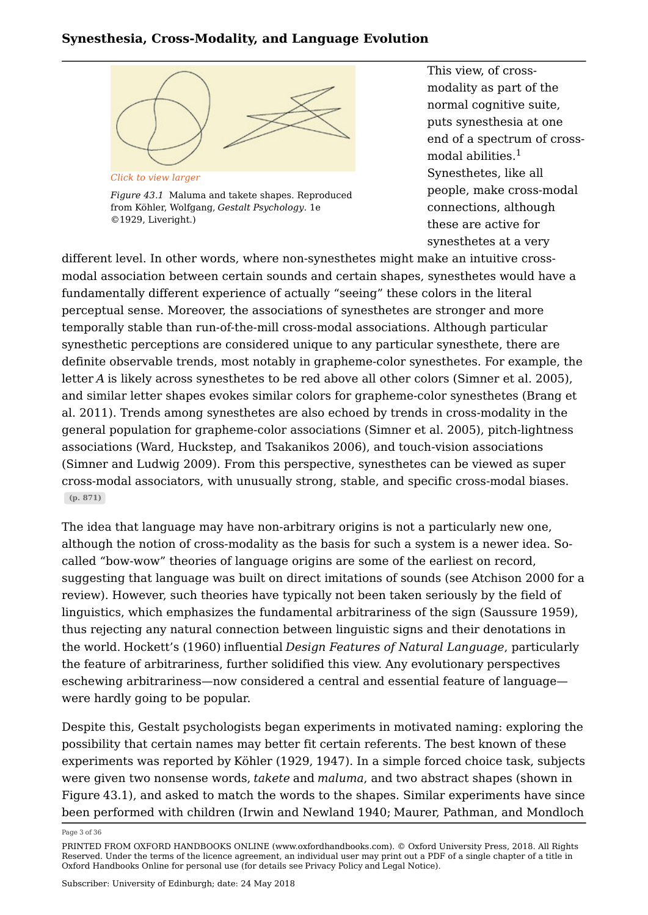

*Figure 43.1* Maluma and takete shapes. Reproduced from Köhler, Wolfgang, *Gestalt Psychology*. 1e ©1929, Liveright.)

This view, of crossmodality as part of the normal cognitive suite, puts synesthesia at one end of a spectrum of crossmodal abilities. Synesthetes, like all people, make cross-modal connections, although these are active for synesthetes at a very 1

different level. In other words, where non-synesthetes might make an intuitive crossmodal association between certain sounds and certain shapes, synesthetes would have a fundamentally different experience of actually "seeing" these colors in the literal perceptual sense. Moreover, the associations of synesthetes are stronger and more temporally stable than run-of-the-mill cross-modal associations. Although particular synesthetic perceptions are considered unique to any particular synesthete, there are definite observable trends, most notably in grapheme-color synesthetes. For example, the letter *A* is likely across synesthetes to be red above all other colors (Simner et al. 2005), and similar letter shapes evokes similar colors for grapheme-color synesthetes (Brang et al. 2011). Trends among synesthetes are also echoed by trends in cross-modality in the general population for grapheme-color associations (Simner et al. 2005), pitch-lightness associations (Ward, Huckstep, and Tsakanikos 2006), and touch-vision associations (Simner and Ludwig 2009). From this perspective, synesthetes can be viewed as super cross-modal associators, with unusually strong, stable, and specific cross-modal biases. **(p. 871)**

The idea that language may have non-arbitrary origins is not a particularly new one, although the notion of cross-modality as the basis for such a system is a newer idea. Socalled "bow-wow" theories of language origins are some of the earliest on record, suggesting that language was built on direct imitations of sounds (see Atchison 2000 for a review). However, such theories have typically not been taken seriously by the field of linguistics, which emphasizes the fundamental arbitrariness of the sign (Saussure 1959), thus rejecting any natural connection between linguistic signs and their denotations in the world. Hockett's (1960) influential *Design Features of Natural Language*, particularly the feature of arbitrariness, further solidified this view. Any evolutionary perspectives eschewing arbitrariness—now considered a central and essential feature of language were hardly going to be popular.

Despite this, Gestalt psychologists began experiments in motivated naming: exploring the possibility that certain names may better fit certain referents. The best known of these experiments was reported by Köhler (1929, 1947). In a simple forced choice task, subjects were given two nonsense words, *takete* and *maluma*, and two abstract shapes (shown in Figure 43.1), and asked to match the words to the shapes. Similar experiments have since been performed with children (Irwin and Newland 1940; Maurer, Pathman, and Mondloch

Page 3 of 36

PRINTED FROM OXFORD HANDBOOKS ONLINE (www.oxfordhandbooks.com). © Oxford University Press, 2018. All Rights Reserved. Under the terms of the licence agreement, an individual user may print out a PDF of a single chapter of a title in Oxford Handbooks Online for personal use (for details see Privacy Policy and Legal Notice).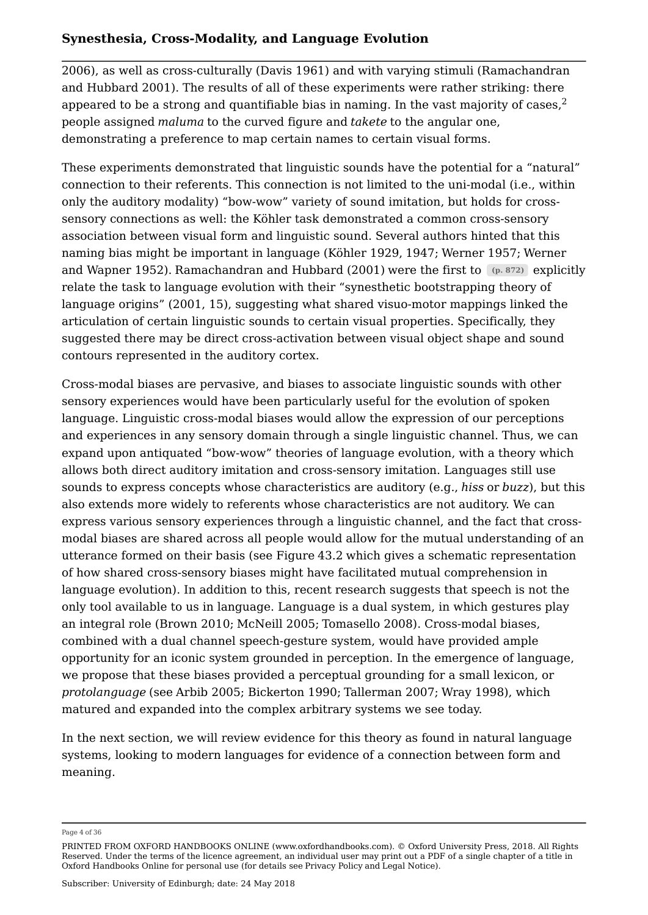2006), as well as cross-culturally (Davis 1961) and with varying stimuli (Ramachandran and Hubbard 2001). The results of all of these experiments were rather striking: there appeared to be a strong and quantifiable bias in naming. In the vast majority of cases,  $2$ people assigned *maluma* to the curved figure and *takete* to the angular one, demonstrating a preference to map certain names to certain visual forms. 2

These experiments demonstrated that linguistic sounds have the potential for a "natural" connection to their referents. This connection is not limited to the uni-modal (i.e., within only the auditory modality) "bow-wow" variety of sound imitation, but holds for crosssensory connections as well: the Köhler task demonstrated a common cross-sensory association between visual form and linguistic sound. Several authors hinted that this naming bias might be important in language (Köhler 1929, 1947; Werner 1957; Werner and Wapner 1952). Ramachandran and Hubbard (2001) were the first to e<sup>n. 872)</sup> explicitly relate the task to language evolution with their "synesthetic bootstrapping theory of language origins" (2001, 15), suggesting what shared visuo-motor mappings linked the articulation of certain linguistic sounds to certain visual properties. Specifically, they suggested there may be direct cross-activation between visual object shape and sound contours represented in the auditory cortex.

Cross-modal biases are pervasive, and biases to associate linguistic sounds with other sensory experiences would have been particularly useful for the evolution of spoken language. Linguistic cross-modal biases would allow the expression of our perceptions and experiences in any sensory domain through a single linguistic channel. Thus, we can expand upon antiquated "bow-wow" theories of language evolution, with a theory which allows both direct auditory imitation and cross-sensory imitation. Languages still use sounds to express concepts whose characteristics are auditory (e.g., *hiss* or *buzz*), but this also extends more widely to referents whose characteristics are not auditory. We can express various sensory experiences through a linguistic channel, and the fact that crossmodal biases are shared across all people would allow for the mutual understanding of an utterance formed on their basis (see Figure 43.2 which gives a schematic representation of how shared cross-sensory biases might have facilitated mutual comprehension in language evolution). In addition to this, recent research suggests that speech is not the only tool available to us in language. Language is a dual system, in which gestures play an integral role (Brown 2010; McNeill 2005; Tomasello 2008). Cross-modal biases, combined with a dual channel speech-gesture system, would have provided ample opportunity for an iconic system grounded in perception. In the emergence of language, we propose that these biases provided a perceptual grounding for a small lexicon, or *protolanguage* (see Arbib 2005; Bickerton 1990; Tallerman 2007; Wray 1998), which matured and expanded into the complex arbitrary systems we see today.

In the next section, we will review evidence for this theory as found in natural language systems, looking to modern languages for evidence of a connection between form and meaning.

Page 4 of 36

PRINTED FROM OXFORD HANDBOOKS ONLINE (www.oxfordhandbooks.com). © Oxford University Press, 2018. All Rights Reserved. Under the terms of the licence agreement, an individual user may print out a PDF of a single chapter of a title in Oxford Handbooks Online for personal use (for details see Privacy Policy and Legal Notice).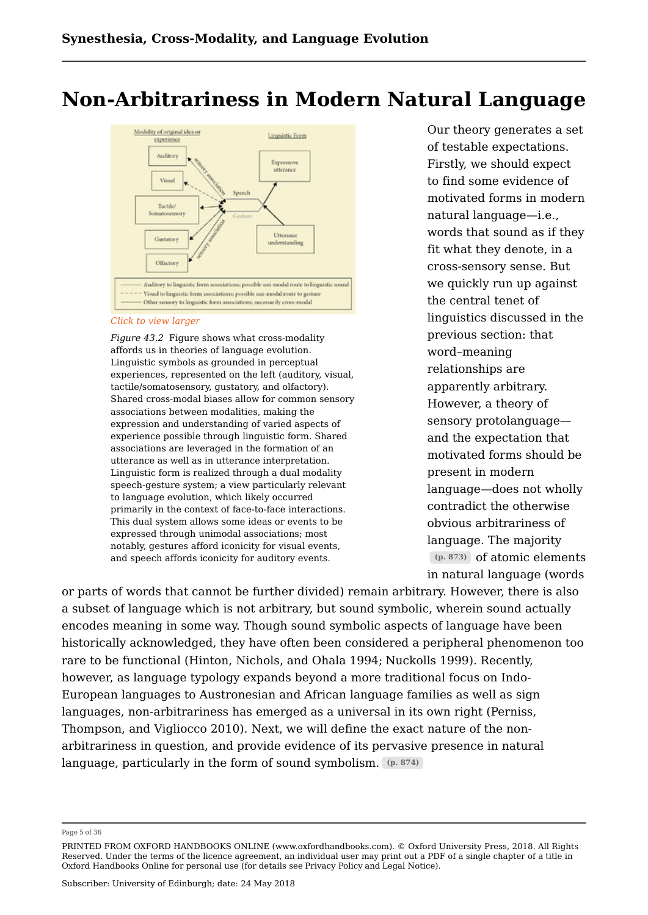# **Non-Arbitrariness in Modern Natural Language**



#### *Click to view larger*

*Figure 43.2* Figure shows what cross-modality affords us in theories of language evolution. Linguistic symbols as grounded in perceptual experiences, represented on the left (auditory, visual, tactile/somatosensory, gustatory, and olfactory). Shared cross-modal biases allow for common sensory associations between modalities, making the expression and understanding of varied aspects of experience possible through linguistic form. Shared associations are leveraged in the formation of an utterance as well as in utterance interpretation. Linguistic form is realized through a dual modality speech-gesture system; a view particularly relevant to language evolution, which likely occurred primarily in the context of face-to-face interactions. This dual system allows some ideas or events to be expressed through unimodal associations; most notably, gestures afford iconicity for visual events, and speech affords iconicity for auditory events.

Our theory generates a set of testable expectations. Firstly, we should expect to find some evidence of motivated forms in modern natural language—i.e., words that sound as if they fit what they denote, in a cross-sensory sense. But we quickly run up against the central tenet of linguistics discussed in the previous section: that word–meaning relationships are apparently arbitrary. However, a theory of sensory protolanguage and the expectation that motivated forms should be present in modern language—does not wholly contradict the otherwise obvious arbitrariness of language. The majority  $(p. 873)$  of atomic elements in natural language (words

or parts of words that cannot be further divided) remain arbitrary. However, there is also a subset of language which is not arbitrary, but sound symbolic, wherein sound actually encodes meaning in some way. Though sound symbolic aspects of language have been historically acknowledged, they have often been considered a peripheral phenomenon too rare to be functional (Hinton, Nichols, and Ohala 1994; Nuckolls 1999). Recently, however, as language typology expands beyond a more traditional focus on Indo-European languages to Austronesian and African language families as well as sign languages, non-arbitrariness has emerged as a universal in its own right (Perniss, Thompson, and Vigliocco 2010). Next, we will define the exact nature of the nonarbitrariness in question, and provide evidence of its pervasive presence in natural language, particularly in the form of sound symbolism. **(p. 874)**

Page 5 of 36

PRINTED FROM OXFORD HANDBOOKS ONLINE (www.oxfordhandbooks.com). © Oxford University Press, 2018. All Rights Reserved. Under the terms of the licence agreement, an individual user may print out a PDF of a single chapter of a title in Oxford Handbooks Online for personal use (for details see Privacy Policy and Legal Notice).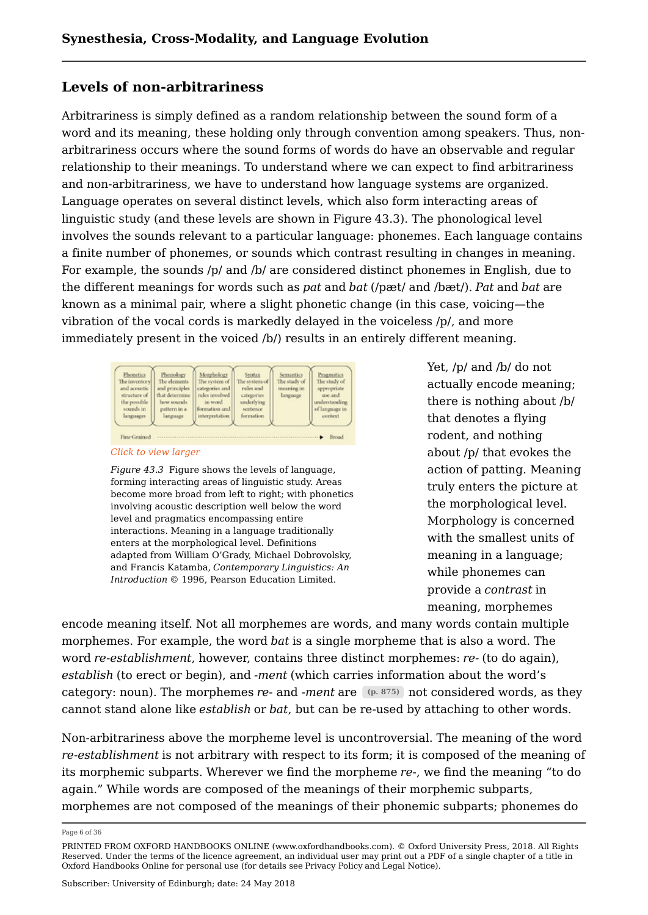# **Levels of non-arbitrariness**

Arbitrariness is simply defined as a random relationship between the sound form of a word and its meaning, these holding only through convention among speakers. Thus, nonarbitrariness occurs where the sound forms of words do have an observable and regular relationship to their meanings. To understand where we can expect to find arbitrariness and non-arbitrariness, we have to understand how language systems are organized. Language operates on several distinct levels, which also form interacting areas of linguistic study (and these levels are shown in Figure 43.3). The phonological level involves the sounds relevant to a particular language: phonemes. Each language contains a finite number of phonemes, or sounds which contrast resulting in changes in meaning. For example, the sounds /p/ and /b/ are considered distinct phonemes in English, due to the different meanings for words such as *pat* and *bat* (/pæt/ and /bæt/). *Pat* and *bat* are known as a minimal pair, where a slight phonetic change (in this case, voicing—the vibration of the vocal cords is markedly delayed in the voiceless /p/, and more immediately present in the voiced /b/) results in an entirely different meaning.

| <b>Fhonetics</b><br>The inventory<br>and acoustic<br>structure of<br>the possible<br>sounds in<br>languages | Phonology<br>The elements.<br>and principles.<br>that determine<br>how sounds<br>pattern in a<br>language | Morphology<br>The system of<br>categories and<br>rules involved<br>in word.<br>formation and<br>interpretation | Syntax<br>The system of<br>rules and<br>categories<br>underlying<br>sentence<br>formation | <b>Semantics</b><br>The study of<br>meaning in<br>language | Pragmatics<br>The study of<br>appropriate<br>use and<br>understanding<br>of language in<br>context |
|-------------------------------------------------------------------------------------------------------------|-----------------------------------------------------------------------------------------------------------|----------------------------------------------------------------------------------------------------------------|-------------------------------------------------------------------------------------------|------------------------------------------------------------|----------------------------------------------------------------------------------------------------|
|-------------------------------------------------------------------------------------------------------------|-----------------------------------------------------------------------------------------------------------|----------------------------------------------------------------------------------------------------------------|-------------------------------------------------------------------------------------------|------------------------------------------------------------|----------------------------------------------------------------------------------------------------|

*Click to view larger*

*Figure 43.3* Figure shows the levels of language, forming interacting areas of linguistic study. Areas become more broad from left to right; with phonetics involving acoustic description well below the word level and pragmatics encompassing entire interactions. Meaning in a language traditionally enters at the morphological level. Definitions adapted from William O'Grady, Michael Dobrovolsky, and Francis Katamba, *Contemporary Linguistics: An Introduction* © 1996, Pearson Education Limited.

Yet, /p/ and /b/ do not actually encode meaning; there is nothing about /b/ that denotes a flying rodent, and nothing about /p/ that evokes the action of patting. Meaning truly enters the picture at the morphological level. Morphology is concerned with the smallest units of meaning in a language; while phonemes can provide a *contrast* in meaning, morphemes

encode meaning itself. Not all morphemes are words, and many words contain multiple morphemes. For example, the word *bat* is a single morpheme that is also a word. The word *re-establishment*, however, contains three distinct morphemes: *re-* (to do again), *establish* (to erect or begin), and *-ment* (which carries information about the word's category: noun). The morphemes *re*- and -*ment* are not considered words, as they **(p. 875)** cannot stand alone like *establish* or *bat*, but can be re-used by attaching to other words.

Non-arbitrariness above the morpheme level is uncontroversial. The meaning of the word *re-establishment* is not arbitrary with respect to its form; it is composed of the meaning of its morphemic subparts. Wherever we find the morpheme *re*-, we find the meaning "to do again." While words are composed of the meanings of their morphemic subparts, morphemes are not composed of the meanings of their phonemic subparts; phonemes do

Page 6 of 36

PRINTED FROM OXFORD HANDBOOKS ONLINE (www.oxfordhandbooks.com). © Oxford University Press, 2018. All Rights Reserved. Under the terms of the licence agreement, an individual user may print out a PDF of a single chapter of a title in Oxford Handbooks Online for personal use (for details see Privacy Policy and Legal Notice).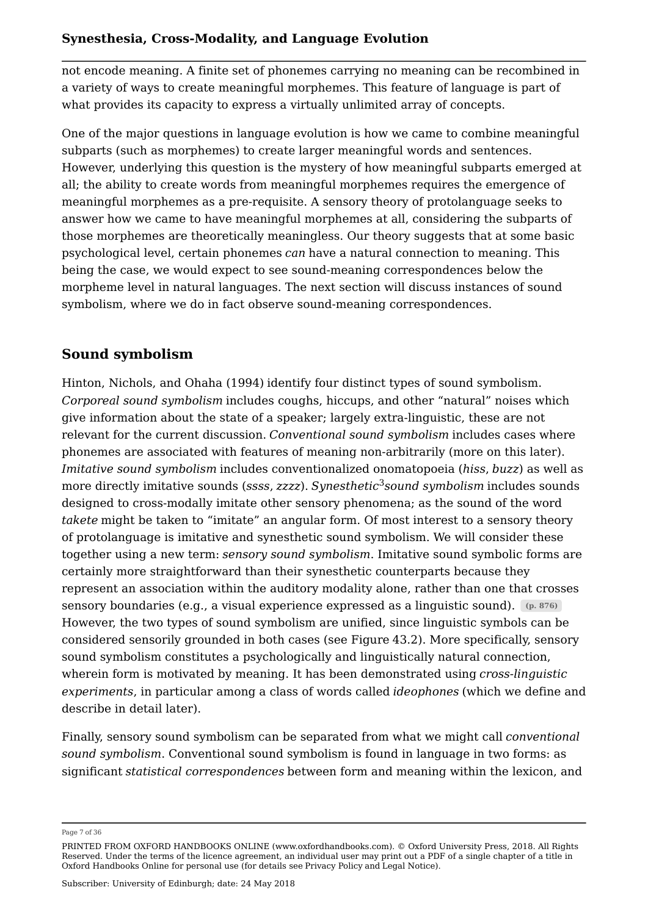not encode meaning. A finite set of phonemes carrying no meaning can be recombined in a variety of ways to create meaningful morphemes. This feature of language is part of what provides its capacity to express a virtually unlimited array of concepts.

One of the major questions in language evolution is how we came to combine meaningful subparts (such as morphemes) to create larger meaningful words and sentences. However, underlying this question is the mystery of how meaningful subparts emerged at all; the ability to create words from meaningful morphemes requires the emergence of meaningful morphemes as a pre-requisite. A sensory theory of protolanguage seeks to answer how we came to have meaningful morphemes at all, considering the subparts of those morphemes are theoretically meaningless. Our theory suggests that at some basic psychological level, certain phonemes *can* have a natural connection to meaning. This being the case, we would expect to see sound-meaning correspondences below the morpheme level in natural languages. The next section will discuss instances of sound symbolism, where we do in fact observe sound-meaning correspondences.

# **Sound symbolism**

Hinton, Nichols, and Ohaha (1994) identify four distinct types of sound symbolism. *Corporeal sound symbolism* includes coughs, hiccups, and other "natural" noises which give information about the state of a speaker; largely extra-linguistic, these are not relevant for the current discussion. *Conventional sound symbolism* includes cases where phonemes are associated with features of meaning non-arbitrarily (more on this later). *Imitative sound symbolism* includes conventionalized onomatopoeia (*hiss*, *buzz*) as well as more directly imitative sounds (*ssss*, *zzzz*). *Synesthetic sound symbolism* includes sounds 3 designed to cross-modally imitate other sensory phenomena; as the sound of the word *takete* might be taken to "imitate" an angular form. Of most interest to a sensory theory of protolanguage is imitative and synesthetic sound symbolism. We will consider these together using a new term: *sensory sound symbolism*. Imitative sound symbolic forms are certainly more straightforward than their synesthetic counterparts because they represent an association within the auditory modality alone, rather than one that crosses sensory boundaries (e.g., a visual experience expressed as a linguistic sound). **(p. 876)** However, the two types of sound symbolism are unified, since linguistic symbols can be considered sensorily grounded in both cases (see Figure 43.2). More specifically, sensory sound symbolism constitutes a psychologically and linguistically natural connection, wherein form is motivated by meaning. It has been demonstrated using *cross-linguistic experiments*, in particular among a class of words called *ideophones* (which we define and describe in detail later).

Finally, sensory sound symbolism can be separated from what we might call *conventional sound symbolism*. Conventional sound symbolism is found in language in two forms: as significant *statistical correspondences* between form and meaning within the lexicon, and

Page 7 of 36

PRINTED FROM OXFORD HANDBOOKS ONLINE (www.oxfordhandbooks.com). © Oxford University Press, 2018. All Rights Reserved. Under the terms of the licence agreement, an individual user may print out a PDF of a single chapter of a title in Oxford Handbooks Online for personal use (for details see Privacy Policy and Legal Notice).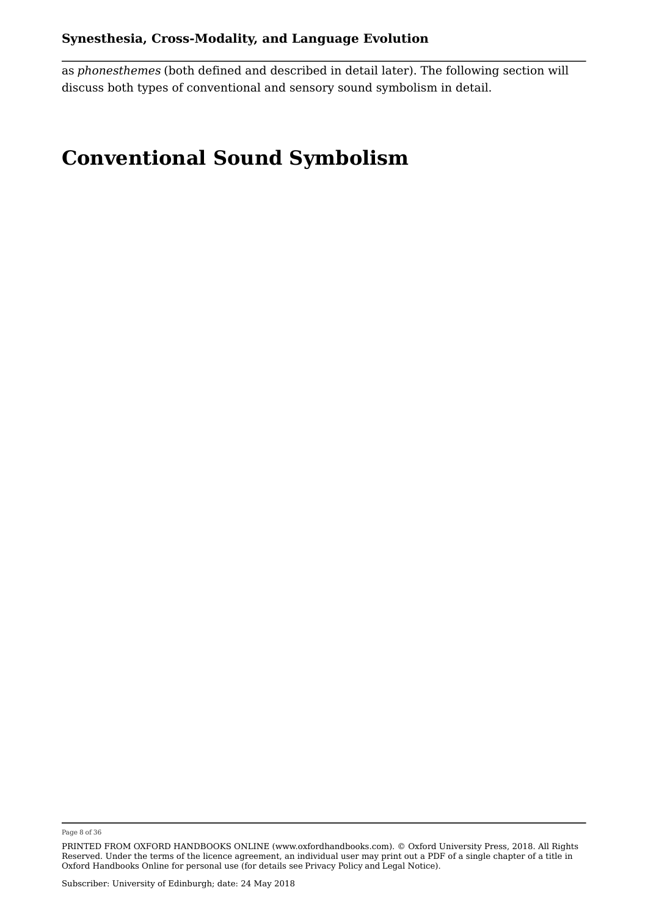as *phonesthemes* (both defined and described in detail later). The following section will discuss both types of conventional and sensory sound symbolism in detail.

# **Conventional Sound Symbolism**

Page 8 of 36

PRINTED FROM OXFORD HANDBOOKS ONLINE (www.oxfordhandbooks.com). © Oxford University Press, 2018. All Rights Reserved. Under the terms of the licence agreement, an individual user may print out a PDF of a single chapter of a title in Oxford Handbooks Online for personal use (for details see Privacy Policy and Legal Notice).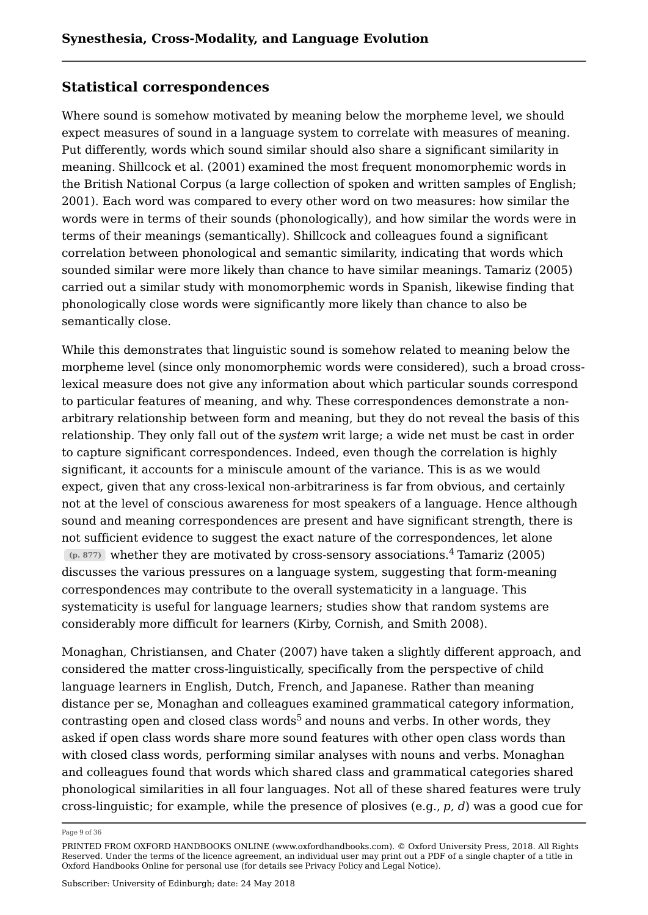# **Statistical correspondences**

Where sound is somehow motivated by meaning below the morpheme level, we should expect measures of sound in a language system to correlate with measures of meaning. Put differently, words which sound similar should also share a significant similarity in meaning. Shillcock et al. (2001) examined the most frequent monomorphemic words in the British National Corpus (a large collection of spoken and written samples of English; 2001). Each word was compared to every other word on two measures: how similar the words were in terms of their sounds (phonologically), and how similar the words were in terms of their meanings (semantically). Shillcock and colleagues found a significant correlation between phonological and semantic similarity, indicating that words which sounded similar were more likely than chance to have similar meanings. Tamariz (2005) carried out a similar study with monomorphemic words in Spanish, likewise finding that phonologically close words were significantly more likely than chance to also be semantically close.

While this demonstrates that linguistic sound is somehow related to meaning below the morpheme level (since only monomorphemic words were considered), such a broad crosslexical measure does not give any information about which particular sounds correspond to particular features of meaning, and why. These correspondences demonstrate a nonarbitrary relationship between form and meaning, but they do not reveal the basis of this relationship. They only fall out of the *system* writ large; a wide net must be cast in order to capture significant correspondences. Indeed, even though the correlation is highly significant, it accounts for a miniscule amount of the variance. This is as we would expect, given that any cross-lexical non-arbitrariness is far from obvious, and certainly not at the level of conscious awareness for most speakers of a language. Hence although sound and meaning correspondences are present and have significant strength, there is not sufficient evidence to suggest the exact nature of the correspondences, let alone  $(p. 877)$  whether they are motivated by cross-sensory associations.<sup>4</sup> Tamariz (2005) discusses the various pressures on a language system, suggesting that form-meaning correspondences may contribute to the overall systematicity in a language. This systematicity is useful for language learners; studies show that random systems are considerably more difficult for learners (Kirby, Cornish, and Smith 2008).

Monaghan, Christiansen, and Chater (2007) have taken a slightly different approach, and considered the matter cross-linguistically, specifically from the perspective of child language learners in English, Dutch, French, and Japanese. Rather than meaning distance per se, Monaghan and colleagues examined grammatical category information, contrasting open and closed class words $^5$  and nouns and verbs. In other words, they asked if open class words share more sound features with other open class words than with closed class words, performing similar analyses with nouns and verbs. Monaghan and colleagues found that words which shared class and grammatical categories shared phonological similarities in all four languages. Not all of these shared features were truly cross-linguistic; for example, while the presence of plosives (e.g., *p, d*) was a good cue for

Page 9 of 36

PRINTED FROM OXFORD HANDBOOKS ONLINE (www.oxfordhandbooks.com). © Oxford University Press, 2018. All Rights Reserved. Under the terms of the licence agreement, an individual user may print out a PDF of a single chapter of a title in Oxford Handbooks Online for personal use (for details see Privacy Policy and Legal Notice).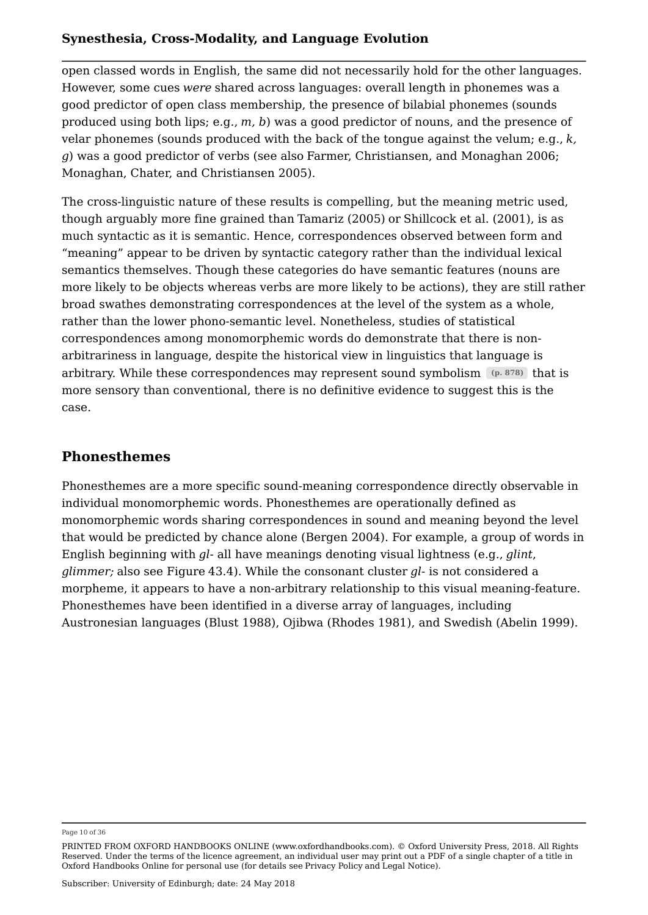open classed words in English, the same did not necessarily hold for the other languages. However, some cues *were* shared across languages: overall length in phonemes was a good predictor of open class membership, the presence of bilabial phonemes (sounds produced using both lips; e.g., *m, b*) was a good predictor of nouns, and the presence of velar phonemes (sounds produced with the back of the tongue against the velum; e.g., *k, g*) was a good predictor of verbs (see also Farmer, Christiansen, and Monaghan 2006; Monaghan, Chater, and Christiansen 2005).

The cross-linguistic nature of these results is compelling, but the meaning metric used, though arguably more fine grained than Tamariz (2005) or Shillcock et al. (2001), is as much syntactic as it is semantic. Hence, correspondences observed between form and "meaning" appear to be driven by syntactic category rather than the individual lexical semantics themselves. Though these categories do have semantic features (nouns are more likely to be objects whereas verbs are more likely to be actions), they are still rather broad swathes demonstrating correspondences at the level of the system as a whole, rather than the lower phono-semantic level. Nonetheless, studies of statistical correspondences among monomorphemic words do demonstrate that there is nonarbitrariness in language, despite the historical view in linguistics that language is arbitrary. While these correspondences may represent sound symbolism (p. 878) that is more sensory than conventional, there is no definitive evidence to suggest this is the case.

# **Phonesthemes**

Phonesthemes are a more specific sound-meaning correspondence directly observable in individual monomorphemic words. Phonesthemes are operationally defined as monomorphemic words sharing correspondences in sound and meaning beyond the level that would be predicted by chance alone (Bergen 2004). For example, a group of words in English beginning with *gl*- all have meanings denoting visual lightness (e.g., *glint*, *glimmer;* also see Figure 43.4). While the consonant cluster *gl*- is not considered a morpheme, it appears to have a non-arbitrary relationship to this visual meaning-feature. Phonesthemes have been identified in a diverse array of languages, including Austronesian languages (Blust 1988), Ojibwa (Rhodes 1981), and Swedish (Abelin 1999).

Page 10 of 36

PRINTED FROM OXFORD HANDBOOKS ONLINE (www.oxfordhandbooks.com). © Oxford University Press, 2018. All Rights Reserved. Under the terms of the licence agreement, an individual user may print out a PDF of a single chapter of a title in Oxford Handbooks Online for personal use (for details see Privacy Policy and Legal Notice).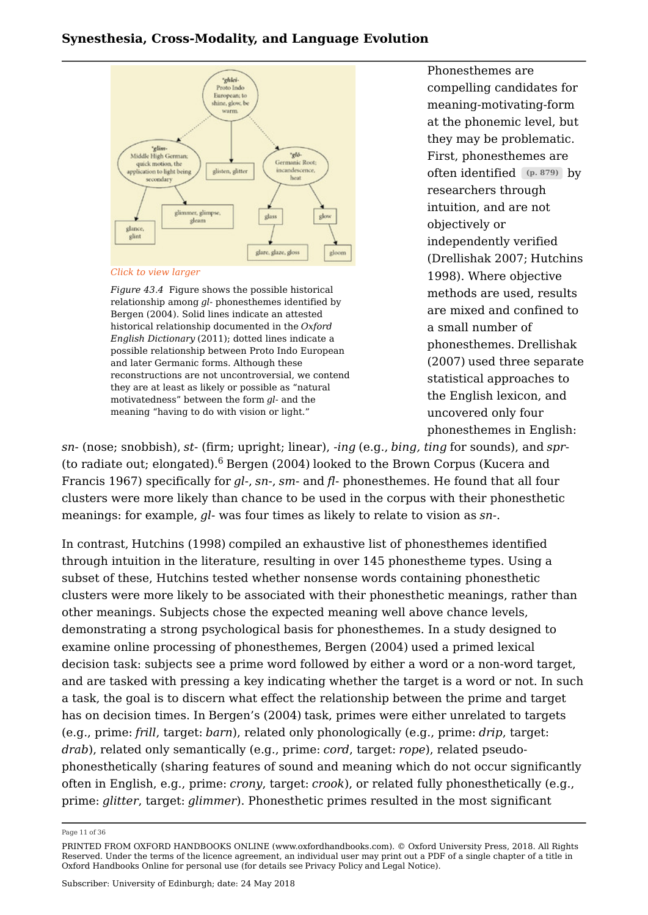

*Click to view larger*

*Figure 43.4* Figure shows the possible historical relationship among *gl*- phonesthemes identified by Bergen (2004). Solid lines indicate an attested historical relationship documented in the *Oxford English Dictionary* (2011); dotted lines indicate a possible relationship between Proto Indo European and later Germanic forms. Although these reconstructions are not uncontroversial, we contend they are at least as likely or possible as "natural motivatedness" between the form *gl*- and the meaning "having to do with vision or light."

Phonesthemes are compelling candidates for meaning-motivating-form at the phonemic level, but they may be problematic. First, phonesthemes are often identified (p. 879) by researchers through intuition, and are not objectively or independently verified (Drellishak 2007; Hutchins 1998). Where objective methods are used, results are mixed and confined to a small number of phonesthemes. Drellishak (2007) used three separate statistical approaches to the English lexicon, and uncovered only four phonesthemes in English:

*sn*- (nose; snobbish), *st*- (firm; upright; linear), -*ing* (e.g., *bing, ting* for sounds), and *spr*- (to radiate out; elongated). $^6$  Bergen (2004) looked to the Brown Corpus (Kucera and Francis 1967) specifically for *gl*-, *sn*-, *sm*- and *fl*- phonesthemes. He found that all four clusters were more likely than chance to be used in the corpus with their phonesthetic meanings: for example, *gl*- was four times as likely to relate to vision as *sn*-.

In contrast, Hutchins (1998) compiled an exhaustive list of phonesthemes identified through intuition in the literature, resulting in over 145 phonestheme types. Using a subset of these, Hutchins tested whether nonsense words containing phonesthetic clusters were more likely to be associated with their phonesthetic meanings, rather than other meanings. Subjects chose the expected meaning well above chance levels, demonstrating a strong psychological basis for phonesthemes. In a study designed to examine online processing of phonesthemes, Bergen (2004) used a primed lexical decision task: subjects see a prime word followed by either a word or a non-word target, and are tasked with pressing a key indicating whether the target is a word or not. In such a task, the goal is to discern what effect the relationship between the prime and target has on decision times. In Bergen's (2004) task, primes were either unrelated to targets (e.g., prime: *frill*, target: *barn*), related only phonologically (e.g., prime: *drip*, target: *drab*), related only semantically (e.g., prime: *cord*, target: *rope*), related pseudophonesthetically (sharing features of sound and meaning which do not occur significantly often in English, e.g., prime: *crony*, target: *crook*), or related fully phonesthetically (e.g., prime: *glitter*, target: *glimmer*). Phonesthetic primes resulted in the most significant

Page 11 of 36

PRINTED FROM OXFORD HANDBOOKS ONLINE (www.oxfordhandbooks.com). © Oxford University Press, 2018. All Rights Reserved. Under the terms of the licence agreement, an individual user may print out a PDF of a single chapter of a title in Oxford Handbooks Online for personal use (for details see Privacy Policy and Legal Notice).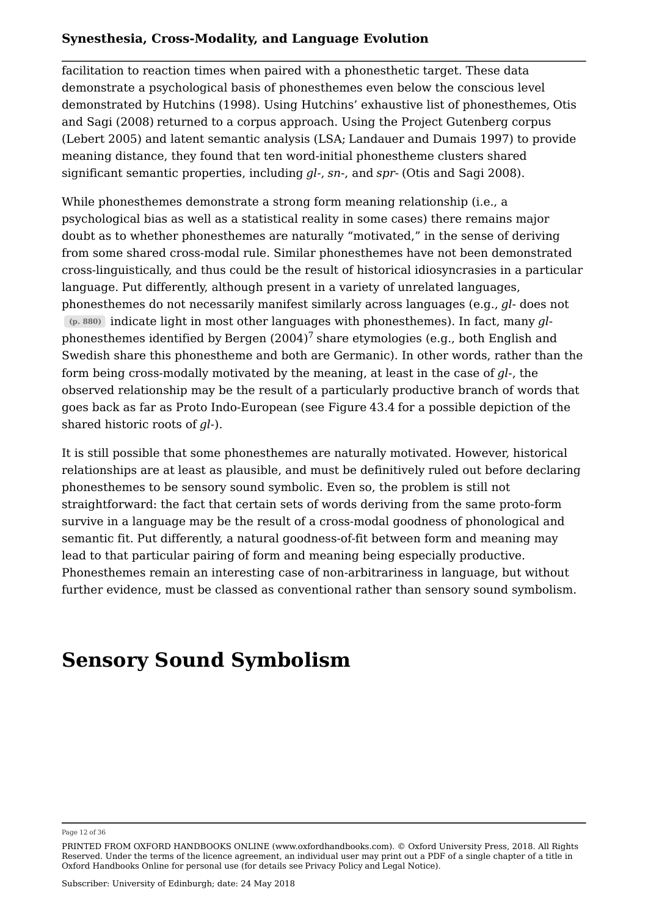facilitation to reaction times when paired with a phonesthetic target. These data demonstrate a psychological basis of phonesthemes even below the conscious level demonstrated by Hutchins (1998). Using Hutchins' exhaustive list of phonesthemes, Otis and Sagi (2008) returned to a corpus approach. Using the Project Gutenberg corpus (Lebert 2005) and latent semantic analysis (LSA; Landauer and Dumais 1997) to provide meaning distance, they found that ten word-initial phonestheme clusters shared significant semantic properties, including *gl-*, *sn*-, and *spr-* (Otis and Sagi 2008).

While phonesthemes demonstrate a strong form meaning relationship (i.e., a psychological bias as well as a statistical reality in some cases) there remains major doubt as to whether phonesthemes are naturally "motivated," in the sense of deriving from some shared cross-modal rule. Similar phonesthemes have not been demonstrated cross-linguistically, and thus could be the result of historical idiosyncrasies in a particular language. Put differently, although present in a variety of unrelated languages, phonesthemes do not necessarily manifest similarly across languages (e.g., *gl*- does not indicate light in most other languages with phonesthemes). In fact, many *gl*- **(p. 880)** phonesthemes identified by Bergen (2004) $^7$  share etymologies (e.g., both English and Swedish share this phonestheme and both are Germanic). In other words, rather than the form being cross-modally motivated by the meaning, at least in the case of *gl*-, the observed relationship may be the result of a particularly productive branch of words that goes back as far as Proto Indo-European (see Figure 43.4 for a possible depiction of the shared historic roots of *gl-*).

It is still possible that some phonesthemes are naturally motivated. However, historical relationships are at least as plausible, and must be definitively ruled out before declaring phonesthemes to be sensory sound symbolic. Even so, the problem is still not straightforward: the fact that certain sets of words deriving from the same proto-form survive in a language may be the result of a cross-modal goodness of phonological and semantic fit. Put differently, a natural goodness-of-fit between form and meaning may lead to that particular pairing of form and meaning being especially productive. Phonesthemes remain an interesting case of non-arbitrariness in language, but without further evidence, must be classed as conventional rather than sensory sound symbolism.

# **Sensory Sound Symbolism**

Page 12 of 36

PRINTED FROM OXFORD HANDBOOKS ONLINE (www.oxfordhandbooks.com). © Oxford University Press, 2018. All Rights Reserved. Under the terms of the licence agreement, an individual user may print out a PDF of a single chapter of a title in Oxford Handbooks Online for personal use (for details see Privacy Policy and Legal Notice).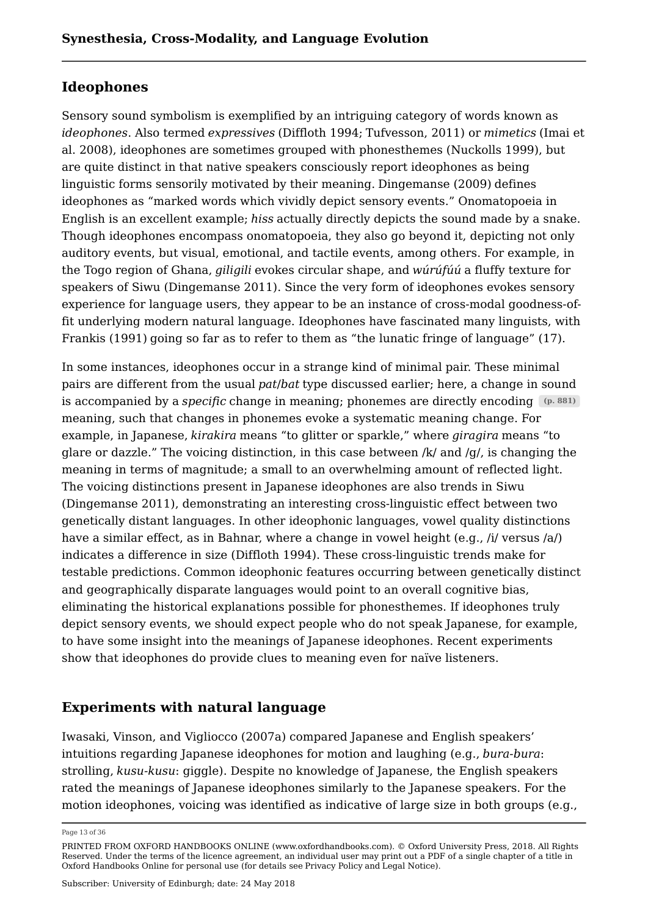# **Ideophones**

Sensory sound symbolism is exemplified by an intriguing category of words known as *ideophones*. Also termed *expressives* (Diffloth 1994; Tufvesson, 2011) or *mimetics* (Imai et al. 2008), ideophones are sometimes grouped with phonesthemes (Nuckolls 1999), but are quite distinct in that native speakers consciously report ideophones as being linguistic forms sensorily motivated by their meaning. Dingemanse (2009) defines ideophones as "marked words which vividly depict sensory events." Onomatopoeia in English is an excellent example; *hiss* actually directly depicts the sound made by a snake. Though ideophones encompass onomatopoeia, they also go beyond it, depicting not only auditory events, but visual, emotional, and tactile events, among others. For example, in the Togo region of Ghana, *giligili* evokes circular shape, and *wúrúfúú* a fluffy texture for speakers of Siwu (Dingemanse 2011). Since the very form of ideophones evokes sensory experience for language users, they appear to be an instance of cross-modal goodness-offit underlying modern natural language. Ideophones have fascinated many linguists, with Frankis (1991) going so far as to refer to them as "the lunatic fringe of language" (17).

In some instances, ideophones occur in a strange kind of minimal pair. These minimal pairs are different from the usual *pat*/*bat* type discussed earlier; here, a change in sound is accompanied by a *specific* change in meaning; phonemes are directly encoding **(p. 881)** meaning, such that changes in phonemes evoke a systematic meaning change. For example, in Japanese, *kirakira* means "to glitter or sparkle," where *giragira* means "to glare or dazzle." The voicing distinction, in this case between /k/ and /g/, is changing the meaning in terms of magnitude; a small to an overwhelming amount of reflected light. The voicing distinctions present in Japanese ideophones are also trends in Siwu (Dingemanse 2011), demonstrating an interesting cross-linguistic effect between two genetically distant languages. In other ideophonic languages, vowel quality distinctions have a similar effect, as in Bahnar, where a change in vowel height (e.g., /i/ versus /a/) indicates a difference in size (Diffloth 1994). These cross-linguistic trends make for testable predictions. Common ideophonic features occurring between genetically distinct and geographically disparate languages would point to an overall cognitive bias, eliminating the historical explanations possible for phonesthemes. If ideophones truly depict sensory events, we should expect people who do not speak Japanese, for example, to have some insight into the meanings of Japanese ideophones. Recent experiments show that ideophones do provide clues to meaning even for naïve listeners.

# **Experiments with natural language**

Iwasaki, Vinson, and Vigliocco (2007a) compared Japanese and English speakers' intuitions regarding Japanese ideophones for motion and laughing (e.g., *bura-bura*: strolling, *kusu-kusu*: giggle). Despite no knowledge of Japanese, the English speakers rated the meanings of Japanese ideophones similarly to the Japanese speakers. For the motion ideophones, voicing was identified as indicative of large size in both groups (e.g.,

Page 13 of 36

PRINTED FROM OXFORD HANDBOOKS ONLINE (www.oxfordhandbooks.com). © Oxford University Press, 2018. All Rights Reserved. Under the terms of the licence agreement, an individual user may print out a PDF of a single chapter of a title in Oxford Handbooks Online for personal use (for details see Privacy Policy and Legal Notice).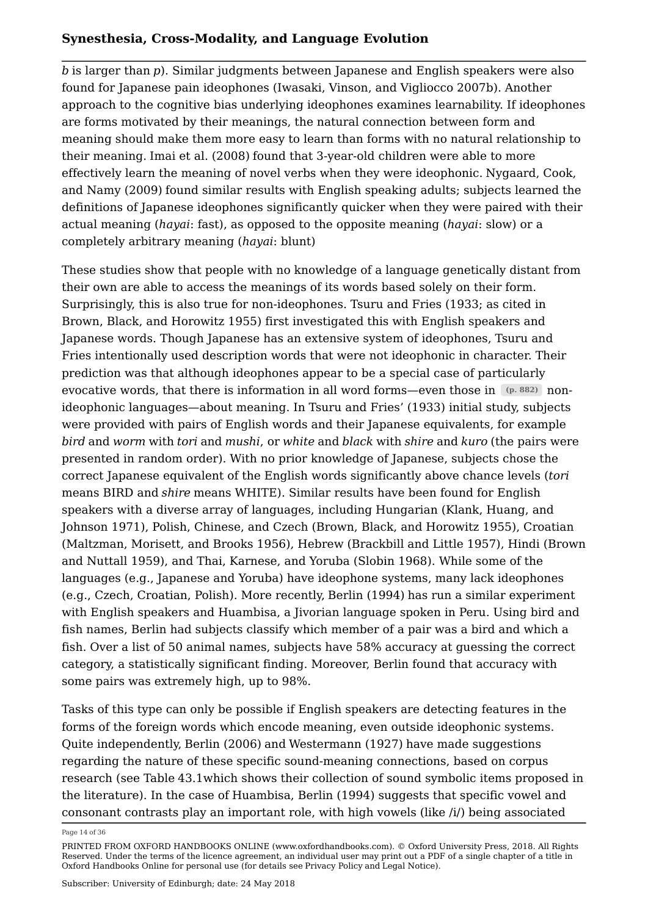*b* is larger than *p*). Similar judgments between Japanese and English speakers were also found for Japanese pain ideophones (Iwasaki, Vinson, and Vigliocco 2007b). Another approach to the cognitive bias underlying ideophones examines learnability. If ideophones are forms motivated by their meanings, the natural connection between form and meaning should make them more easy to learn than forms with no natural relationship to their meaning. Imai et al. (2008) found that 3-year-old children were able to more effectively learn the meaning of novel verbs when they were ideophonic. Nygaard, Cook, and Namy (2009) found similar results with English speaking adults; subjects learned the definitions of Japanese ideophones significantly quicker when they were paired with their actual meaning (*hayai*: fast), as opposed to the opposite meaning (*hayai*: slow) or a completely arbitrary meaning (*hayai*: blunt)

These studies show that people with no knowledge of a language genetically distant from their own are able to access the meanings of its words based solely on their form. Surprisingly, this is also true for non-ideophones. Tsuru and Fries (1933; as cited in Brown, Black, and Horowitz 1955) first investigated this with English speakers and Japanese words. Though Japanese has an extensive system of ideophones, Tsuru and Fries intentionally used description words that were not ideophonic in character. Their prediction was that although ideophones appear to be a special case of particularly evocative words, that there is information in all word forms—even those in pass  $\left(\mathbf{p. }\, \mathbf{882}\right)$  nonideophonic languages—about meaning. In Tsuru and Fries' (1933) initial study, subjects were provided with pairs of English words and their Japanese equivalents, for example *bird* and *worm* with *tori* and *mushi*, or *white* and *black* with *shire* and *kuro* (the pairs were presented in random order). With no prior knowledge of Japanese, subjects chose the correct Japanese equivalent of the English words significantly above chance levels (*tori* means BIRD and *shire* means WHITE). Similar results have been found for English speakers with a diverse array of languages, including Hungarian (Klank, Huang, and Johnson 1971), Polish, Chinese, and Czech (Brown, Black, and Horowitz 1955), Croatian (Maltzman, Morisett, and Brooks 1956), Hebrew (Brackbill and Little 1957), Hindi (Brown and Nuttall 1959), and Thai, Karnese, and Yoruba (Slobin 1968). While some of the languages (e.g., Japanese and Yoruba) have ideophone systems, many lack ideophones (e.g., Czech, Croatian, Polish). More recently, Berlin (1994) has run a similar experiment with English speakers and Huambisa, a Jivorian language spoken in Peru. Using bird and fish names, Berlin had subjects classify which member of a pair was a bird and which a fish. Over a list of 50 animal names, subjects have 58% accuracy at guessing the correct category, a statistically significant finding. Moreover, Berlin found that accuracy with some pairs was extremely high, up to 98%.

Tasks of this type can only be possible if English speakers are detecting features in the forms of the foreign words which encode meaning, even outside ideophonic systems. Quite independently, Berlin (2006) and Westermann (1927) have made suggestions regarding the nature of these specific sound-meaning connections, based on corpus research (see Table 43.1which shows their collection of sound symbolic items proposed in the literature). In the case of Huambisa, Berlin (1994) suggests that specific vowel and consonant contrasts play an important role, with high vowels (like /i/) being associated

Page 14 of 36

PRINTED FROM OXFORD HANDBOOKS ONLINE (www.oxfordhandbooks.com). © Oxford University Press, 2018. All Rights Reserved. Under the terms of the licence agreement, an individual user may print out a PDF of a single chapter of a title in Oxford Handbooks Online for personal use (for details see Privacy Policy and Legal Notice).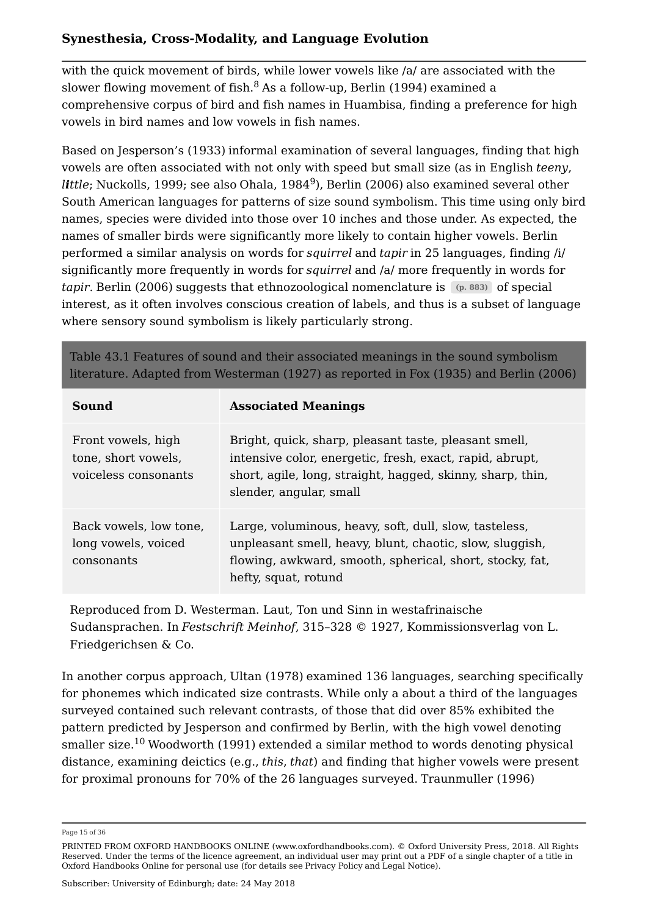with the quick movement of birds, while lower vowels like /a/ are associated with the slower flowing movement of fish. $^8$  As a follow-up, Berlin (1994) examined a comprehensive corpus of bird and fish names in Huambisa, finding a preference for high vowels in bird names and low vowels in fish names.

Based on Jesperson's (1933) informal examination of several languages, finding that high vowels are often associated with not only with speed but small size (as in English *teeny*, *little;* Nuckolls, 1999; see also Ohala, 1984<sup>9</sup>), Berlin (2006) also examined several other South American languages for patterns of size sound symbolism. This time using only bird names, species were divided into those over 10 inches and those under. As expected, the names of smaller birds were significantly more likely to contain higher vowels. Berlin performed a similar analysis on words for *squirrel* and *tapir* in 25 languages, finding /i/ significantly more frequently in words for *squirrel* and /a/ more frequently in words for t*apir*. Berlin (2006) suggests that ethnozoological nomenclature is  $\;\;$  (p. 883)  $\;$  of special interest, as it often involves conscious creation of labels, and thus is a subset of language where sensory sound symbolism is likely particularly strong.

Table 43.1 Features of sound and their associated meanings in the sound symbolism literature. Adapted from Westerman (1927) as reported in Fox (1935) and Berlin (2006)

| Sound                                                             | <b>Associated Meanings</b>                                                                                                                                                                                 |
|-------------------------------------------------------------------|------------------------------------------------------------------------------------------------------------------------------------------------------------------------------------------------------------|
| Front vowels, high<br>tone, short vowels,<br>voiceless consonants | Bright, quick, sharp, pleasant taste, pleasant smell,<br>intensive color, energetic, fresh, exact, rapid, abrupt,<br>short, agile, long, straight, hagged, skinny, sharp, thin,<br>slender, angular, small |
| Back vowels, low tone,<br>long vowels, voiced<br>consonants       | Large, voluminous, heavy, soft, dull, slow, tasteless,<br>unpleasant smell, heavy, blunt, chaotic, slow, sluggish,<br>flowing, awkward, smooth, spherical, short, stocky, fat,<br>hefty, squat, rotund     |

Reproduced from D. Westerman. Laut, Ton und Sinn in westafrinaische Sudansprachen. In *Festschrift Meinhof*, 315–328 © 1927, Kommissionsverlag von L. Friedgerichsen & Co.

In another corpus approach, Ultan (1978) examined 136 languages, searching specifically for phonemes which indicated size contrasts. While only a about a third of the languages surveyed contained such relevant contrasts, of those that did over 85% exhibited the pattern predicted by Jesperson and confirmed by Berlin, with the high vowel denoting smaller size.<sup>10</sup> Woodworth (1991) extended a similar method to words denoting physical distance, examining deictics (e.g., *this*, *that*) and finding that higher vowels were present for proximal pronouns for 70% of the 26 languages surveyed. Traunmuller (1996)

Page 15 of 36

PRINTED FROM OXFORD HANDBOOKS ONLINE (www.oxfordhandbooks.com). © Oxford University Press, 2018. All Rights Reserved. Under the terms of the licence agreement, an individual user may print out a PDF of a single chapter of a title in Oxford Handbooks Online for personal use (for details see Privacy Policy and Legal Notice).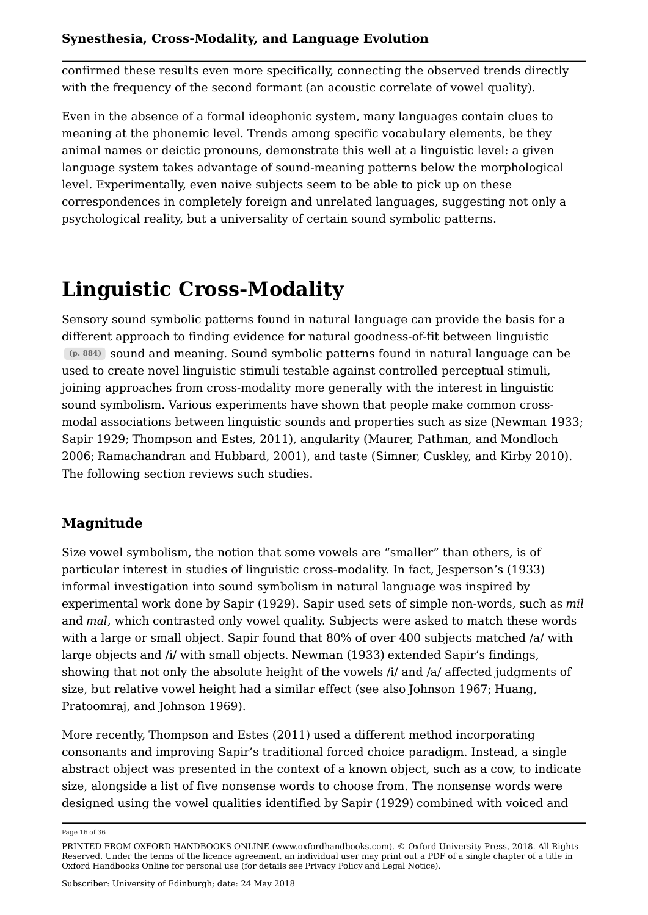confirmed these results even more specifically, connecting the observed trends directly with the frequency of the second formant (an acoustic correlate of vowel quality).

Even in the absence of a formal ideophonic system, many languages contain clues to meaning at the phonemic level. Trends among specific vocabulary elements, be they animal names or deictic pronouns, demonstrate this well at a linguistic level: a given language system takes advantage of sound-meaning patterns below the morphological level. Experimentally, even naive subjects seem to be able to pick up on these correspondences in completely foreign and unrelated languages, suggesting not only a psychological reality, but a universality of certain sound symbolic patterns.

# **Linguistic Cross-Modality**

Sensory sound symbolic patterns found in natural language can provide the basis for a different approach to finding evidence for natural goodness-of-fit between linguistic sound and meaning. Sound symbolic patterns found in natural language can be **(p. 884)** used to create novel linguistic stimuli testable against controlled perceptual stimuli, joining approaches from cross-modality more generally with the interest in linguistic sound symbolism. Various experiments have shown that people make common crossmodal associations between linguistic sounds and properties such as size (Newman 1933; Sapir 1929; Thompson and Estes, 2011), angularity (Maurer, Pathman, and Mondloch 2006; Ramachandran and Hubbard, 2001), and taste (Simner, Cuskley, and Kirby 2010). The following section reviews such studies.

# **Magnitude**

Size vowel symbolism, the notion that some vowels are "smaller" than others, is of particular interest in studies of linguistic cross-modality. In fact, Jesperson's (1933) informal investigation into sound symbolism in natural language was inspired by experimental work done by Sapir (1929). Sapir used sets of simple non-words, such as *mil* and *mal*, which contrasted only vowel quality. Subjects were asked to match these words with a large or small object. Sapir found that 80% of over 400 subjects matched /a/ with large objects and /i/ with small objects. Newman (1933) extended Sapir's findings, showing that not only the absolute height of the vowels /i/ and /a/ affected judgments of size, but relative vowel height had a similar effect (see also Johnson 1967; Huang, Pratoomraj, and Johnson 1969).

More recently, Thompson and Estes (2011) used a different method incorporating consonants and improving Sapir's traditional forced choice paradigm. Instead, a single abstract object was presented in the context of a known object, such as a cow, to indicate size, alongside a list of five nonsense words to choose from. The nonsense words were designed using the vowel qualities identified by Sapir (1929) combined with voiced and

Page 16 of 36

PRINTED FROM OXFORD HANDBOOKS ONLINE (www.oxfordhandbooks.com). © Oxford University Press, 2018. All Rights Reserved. Under the terms of the licence agreement, an individual user may print out a PDF of a single chapter of a title in Oxford Handbooks Online for personal use (for details see Privacy Policy and Legal Notice).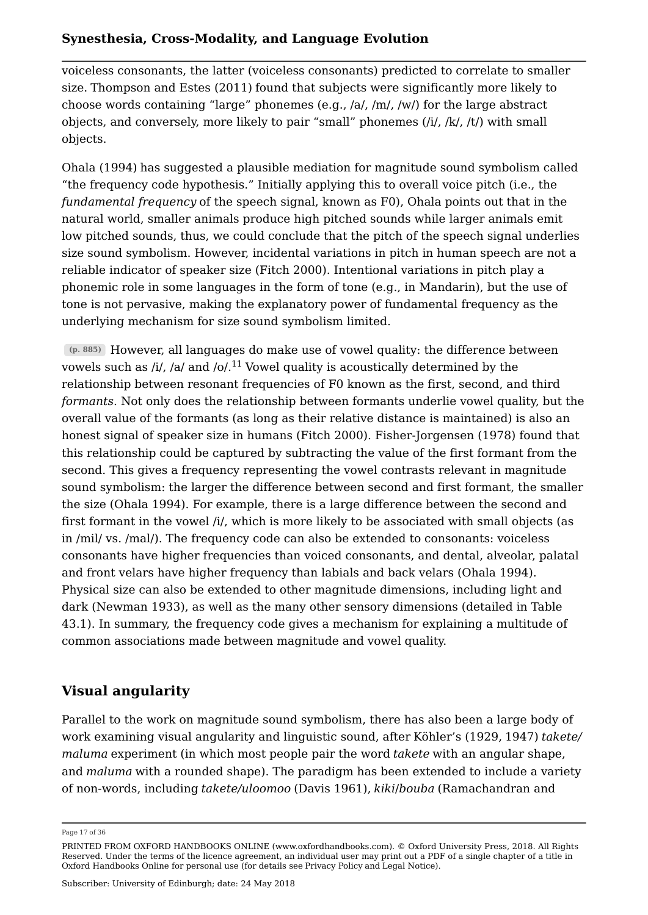voiceless consonants, the latter (voiceless consonants) predicted to correlate to smaller size. Thompson and Estes (2011) found that subjects were significantly more likely to choose words containing "large" phonemes (e.g., /a/, /m/, /w/) for the large abstract objects, and conversely, more likely to pair "small" phonemes (/i/, /k/, /t/) with small objects.

Ohala (1994) has suggested a plausible mediation for magnitude sound symbolism called "the frequency code hypothesis." Initially applying this to overall voice pitch (i.e., the *fundamental frequency* of the speech signal, known as F0), Ohala points out that in the natural world, smaller animals produce high pitched sounds while larger animals emit low pitched sounds, thus, we could conclude that the pitch of the speech signal underlies size sound symbolism. However, incidental variations in pitch in human speech are not a reliable indicator of speaker size (Fitch 2000). Intentional variations in pitch play a phonemic role in some languages in the form of tone (e.g., in Mandarin), but the use of tone is not pervasive, making the explanatory power of fundamental frequency as the underlying mechanism for size sound symbolism limited.

However, all languages do make use of vowel quality: the difference between **(p. 885)** vowels such as /i/, /a/ and /o/. $^{11}$  Vowel quality is acoustically determined by the relationship between resonant frequencies of F0 known as the first, second, and third *formants*. Not only does the relationship between formants underlie vowel quality, but the overall value of the formants (as long as their relative distance is maintained) is also an honest signal of speaker size in humans (Fitch 2000). Fisher-Jorgensen (1978) found that this relationship could be captured by subtracting the value of the first formant from the second. This gives a frequency representing the vowel contrasts relevant in magnitude sound symbolism: the larger the difference between second and first formant, the smaller the size (Ohala 1994). For example, there is a large difference between the second and first formant in the vowel /i/, which is more likely to be associated with small objects (as in /mil/ vs. /mal/). The frequency code can also be extended to consonants: voiceless consonants have higher frequencies than voiced consonants, and dental, alveolar, palatal and front velars have higher frequency than labials and back velars (Ohala 1994). Physical size can also be extended to other magnitude dimensions, including light and dark (Newman 1933), as well as the many other sensory dimensions (detailed in Table 43.1). In summary, the frequency code gives a mechanism for explaining a multitude of common associations made between magnitude and vowel quality.

# **Visual angularity**

Parallel to the work on magnitude sound symbolism, there has also been a large body of work examining visual angularity and linguistic sound, after Köhler's (1929, 1947) *takete/ maluma* experiment (in which most people pair the word *takete* with an angular shape, and *maluma* with a rounded shape). The paradigm has been extended to include a variety of non-words, including *takete/uloomoo* (Davis 1961), *kiki*/*bouba* (Ramachandran and

Page 17 of 36

PRINTED FROM OXFORD HANDBOOKS ONLINE (www.oxfordhandbooks.com). © Oxford University Press, 2018. All Rights Reserved. Under the terms of the licence agreement, an individual user may print out a PDF of a single chapter of a title in Oxford Handbooks Online for personal use (for details see Privacy Policy and Legal Notice).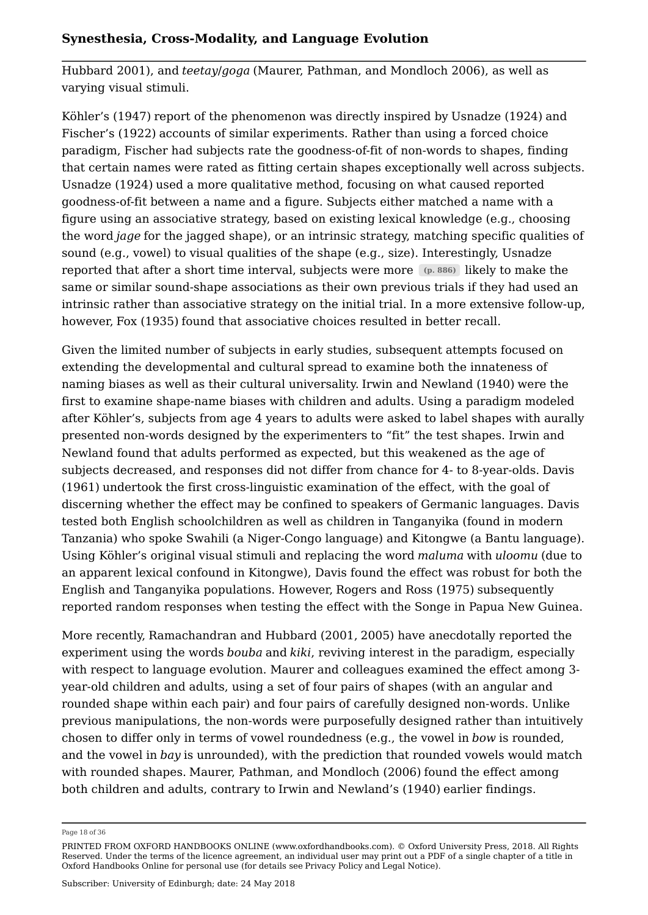Hubbard 2001), and *teetay*/*goga* (Maurer, Pathman, and Mondloch 2006), as well as varying visual stimuli.

Köhler's (1947) report of the phenomenon was directly inspired by Usnadze (1924) and Fischer's (1922) accounts of similar experiments. Rather than using a forced choice paradigm, Fischer had subjects rate the goodness-of-fit of non-words to shapes, finding that certain names were rated as fitting certain shapes exceptionally well across subjects. Usnadze (1924) used a more qualitative method, focusing on what caused reported goodness-of-fit between a name and a figure. Subjects either matched a name with a figure using an associative strategy, based on existing lexical knowledge (e.g., choosing the word *jage* for the jagged shape), or an intrinsic strategy, matching specific qualities of sound (e.g., vowel) to visual qualities of the shape (e.g., size). Interestingly, Usnadze reported that after a short time interval, subjects were more  $(p. 886)$  likely to make the same or similar sound-shape associations as their own previous trials if they had used an intrinsic rather than associative strategy on the initial trial. In a more extensive follow-up, however, Fox (1935) found that associative choices resulted in better recall.

Given the limited number of subjects in early studies, subsequent attempts focused on extending the developmental and cultural spread to examine both the innateness of naming biases as well as their cultural universality. Irwin and Newland (1940) were the first to examine shape-name biases with children and adults. Using a paradigm modeled after Köhler's, subjects from age 4 years to adults were asked to label shapes with aurally presented non-words designed by the experimenters to "fit" the test shapes. Irwin and Newland found that adults performed as expected, but this weakened as the age of subjects decreased, and responses did not differ from chance for 4- to 8-year-olds. Davis (1961) undertook the first cross-linguistic examination of the effect, with the goal of discerning whether the effect may be confined to speakers of Germanic languages. Davis tested both English schoolchildren as well as children in Tanganyika (found in modern Tanzania) who spoke Swahili (a Niger-Congo language) and Kitongwe (a Bantu language). Using Köhler's original visual stimuli and replacing the word *maluma* with *uloomu* (due to an apparent lexical confound in Kitongwe), Davis found the effect was robust for both the English and Tanganyika populations. However, Rogers and Ross (1975) subsequently reported random responses when testing the effect with the Songe in Papua New Guinea.

More recently, Ramachandran and Hubbard (2001, 2005) have anecdotally reported the experiment using the words *bouba* and *kiki*, reviving interest in the paradigm, especially with respect to language evolution. Maurer and colleagues examined the effect among 3 year-old children and adults, using a set of four pairs of shapes (with an angular and rounded shape within each pair) and four pairs of carefully designed non-words. Unlike previous manipulations, the non-words were purposefully designed rather than intuitively chosen to differ only in terms of vowel roundedness (e.g., the vowel in *bow* is rounded, and the vowel in *bay* is unrounded), with the prediction that rounded vowels would match with rounded shapes. Maurer, Pathman, and Mondloch (2006) found the effect among both children and adults, contrary to Irwin and Newland's (1940) earlier findings.

Page 18 of 36

PRINTED FROM OXFORD HANDBOOKS ONLINE (www.oxfordhandbooks.com). © Oxford University Press, 2018. All Rights Reserved. Under the terms of the licence agreement, an individual user may print out a PDF of a single chapter of a title in Oxford Handbooks Online for personal use (for details see Privacy Policy and Legal Notice).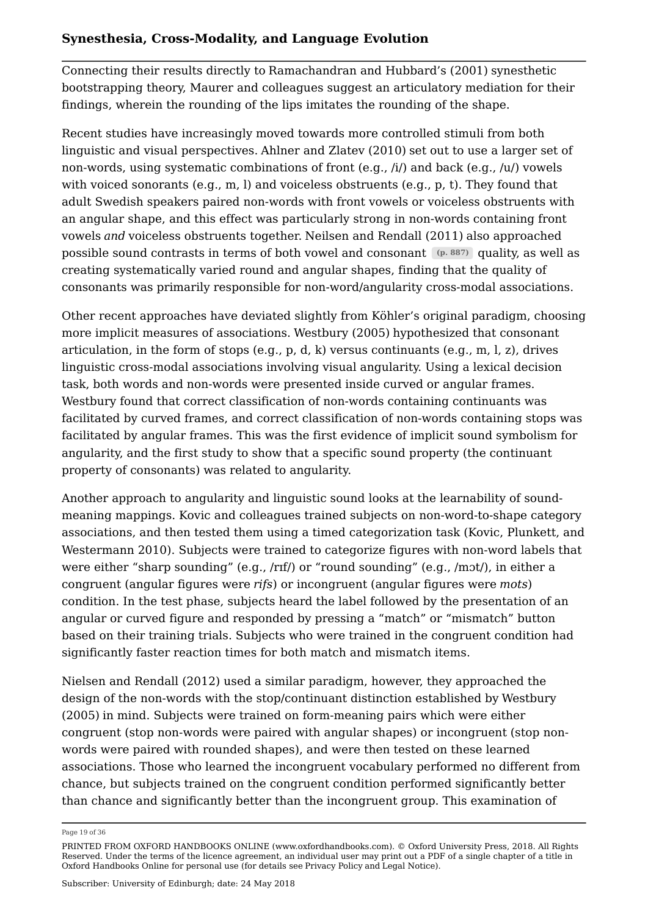Connecting their results directly to Ramachandran and Hubbard's (2001) synesthetic bootstrapping theory, Maurer and colleagues suggest an articulatory mediation for their findings, wherein the rounding of the lips imitates the rounding of the shape.

Recent studies have increasingly moved towards more controlled stimuli from both linguistic and visual perspectives. Ahlner and Zlatev (2010) set out to use a larger set of non-words, using systematic combinations of front (e.g., /i/) and back (e.g., /u/) vowels with voiced sonorants (e.g.,  $m$ , l) and voiceless obstruents (e.g.,  $p$ , t). They found that adult Swedish speakers paired non-words with front vowels or voiceless obstruents with an angular shape, and this effect was particularly strong in non-words containing front vowels *and* voiceless obstruents together. Neilsen and Rendall (2011) also approached possible sound contrasts in terms of both vowel and consonant (p. 887) quality, as well as creating systematically varied round and angular shapes, finding that the quality of consonants was primarily responsible for non-word/angularity cross-modal associations.

Other recent approaches have deviated slightly from Köhler's original paradigm, choosing more implicit measures of associations. Westbury (2005) hypothesized that consonant articulation, in the form of stops (e.g., p, d, k) versus continuants (e.g., m, l, z), drives linguistic cross-modal associations involving visual angularity. Using a lexical decision task, both words and non-words were presented inside curved or angular frames. Westbury found that correct classification of non-words containing continuants was facilitated by curved frames, and correct classification of non-words containing stops was facilitated by angular frames. This was the first evidence of implicit sound symbolism for angularity, and the first study to show that a specific sound property (the continuant property of consonants) was related to angularity.

Another approach to angularity and linguistic sound looks at the learnability of soundmeaning mappings. Kovic and colleagues trained subjects on non-word-to-shape category associations, and then tested them using a timed categorization task (Kovic, Plunkett, and Westermann 2010). Subjects were trained to categorize figures with non-word labels that were either "sharp sounding" (e.g., /rɪf/) or "round sounding" (e.g., /mɔt/), in either a congruent (angular figures were *rifs*) or incongruent (angular figures were *mots*) condition. In the test phase, subjects heard the label followed by the presentation of an angular or curved figure and responded by pressing a "match" or "mismatch" button based on their training trials. Subjects who were trained in the congruent condition had significantly faster reaction times for both match and mismatch items.

Nielsen and Rendall (2012) used a similar paradigm, however, they approached the design of the non-words with the stop/continuant distinction established by Westbury (2005) in mind. Subjects were trained on form-meaning pairs which were either congruent (stop non-words were paired with angular shapes) or incongruent (stop nonwords were paired with rounded shapes), and were then tested on these learned associations. Those who learned the incongruent vocabulary performed no different from chance, but subjects trained on the congruent condition performed significantly better than chance and significantly better than the incongruent group. This examination of

Page 19 of 36

PRINTED FROM OXFORD HANDBOOKS ONLINE (www.oxfordhandbooks.com). © Oxford University Press, 2018. All Rights Reserved. Under the terms of the licence agreement, an individual user may print out a PDF of a single chapter of a title in Oxford Handbooks Online for personal use (for details see Privacy Policy and Legal Notice).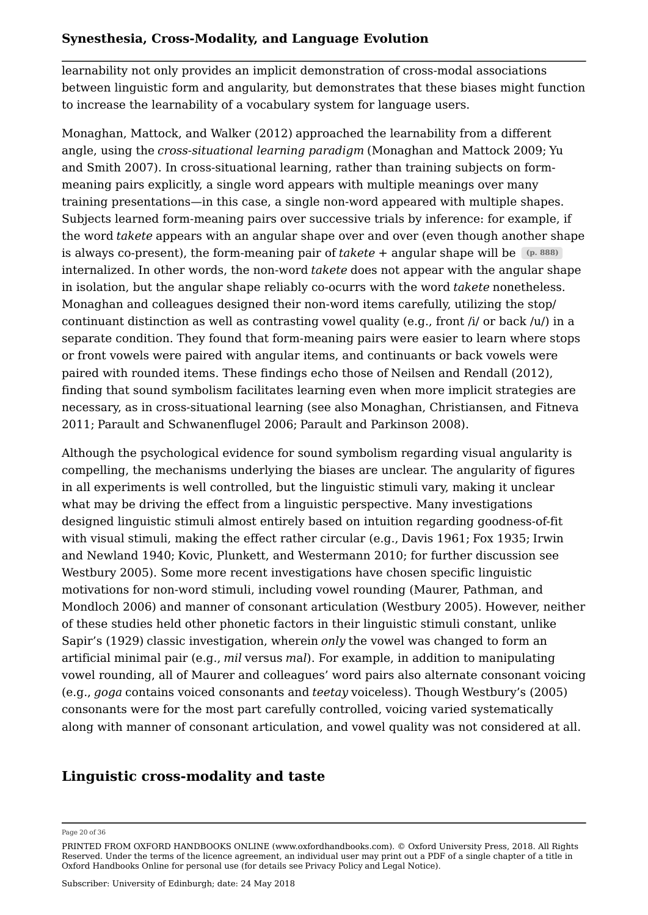learnability not only provides an implicit demonstration of cross-modal associations between linguistic form and angularity, but demonstrates that these biases might function to increase the learnability of a vocabulary system for language users.

Monaghan, Mattock, and Walker (2012) approached the learnability from a different angle, using the *cross-situational learning paradigm* (Monaghan and Mattock 2009; Yu and Smith 2007). In cross-situational learning, rather than training subjects on formmeaning pairs explicitly, a single word appears with multiple meanings over many training presentations—in this case, a single non-word appeared with multiple shapes. Subjects learned form-meaning pairs over successive trials by inference: for example, if the word *takete* appears with an angular shape over and over (even though another shape is always co-present), the form-meaning pair of *takete* + angular shape will be **(p. 888)** internalized. In other words, the non-word *takete* does not appear with the angular shape in isolation, but the angular shape reliably co-ocurrs with the word *takete* nonetheless. Monaghan and colleagues designed their non-word items carefully, utilizing the stop/ continuant distinction as well as contrasting vowel quality (e.g., front /i/ or back /u/) in a separate condition. They found that form-meaning pairs were easier to learn where stops or front vowels were paired with angular items, and continuants or back vowels were paired with rounded items. These findings echo those of Neilsen and Rendall (2012), finding that sound symbolism facilitates learning even when more implicit strategies are necessary, as in cross-situational learning (see also Monaghan, Christiansen, and Fitneva 2011; Parault and Schwanenflugel 2006; Parault and Parkinson 2008).

Although the psychological evidence for sound symbolism regarding visual angularity is compelling, the mechanisms underlying the biases are unclear. The angularity of figures in all experiments is well controlled, but the linguistic stimuli vary, making it unclear what may be driving the effect from a linguistic perspective. Many investigations designed linguistic stimuli almost entirely based on intuition regarding goodness-of-fit with visual stimuli, making the effect rather circular (e.g., Davis 1961; Fox 1935; Irwin and Newland 1940; Kovic, Plunkett, and Westermann 2010; for further discussion see Westbury 2005). Some more recent investigations have chosen specific linguistic motivations for non-word stimuli, including vowel rounding (Maurer, Pathman, and Mondloch 2006) and manner of consonant articulation (Westbury 2005). However, neither of these studies held other phonetic factors in their linguistic stimuli constant, unlike Sapir's (1929) classic investigation, wherein *only* the vowel was changed to form an artificial minimal pair (e.g., *mil* versus *m*a*l*). For example, in addition to manipulating vowel rounding, all of Maurer and colleagues' word pairs also alternate consonant voicing (e.g., *goga* contains voiced consonants and *teetay* voiceless). Though Westbury's (2005) consonants were for the most part carefully controlled, voicing varied systematically along with manner of consonant articulation, and vowel quality was not considered at all.

# **Linguistic cross-modality and taste**

#### Page 20 of 36

PRINTED FROM OXFORD HANDBOOKS ONLINE (www.oxfordhandbooks.com). © Oxford University Press, 2018. All Rights Reserved. Under the terms of the licence agreement, an individual user may print out a PDF of a single chapter of a title in Oxford Handbooks Online for personal use (for details see Privacy Policy and Legal Notice).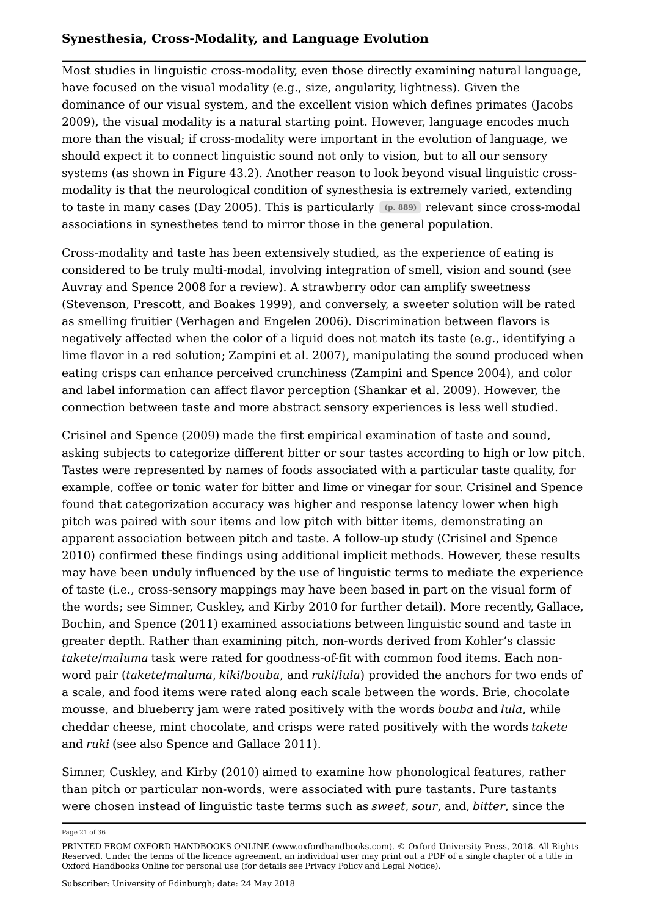Most studies in linguistic cross-modality, even those directly examining natural language, have focused on the visual modality (e.g., size, angularity, lightness). Given the dominance of our visual system, and the excellent vision which defines primates (Jacobs 2009), the visual modality is a natural starting point. However, language encodes much more than the visual; if cross-modality were important in the evolution of language, we should expect it to connect linguistic sound not only to vision, but to all our sensory systems (as shown in Figure 43.2). Another reason to look beyond visual linguistic crossmodality is that the neurological condition of synesthesia is extremely varied, extending to taste in many cases (Day 2005). This is particularly (p. 889) relevant since cross-modal associations in synesthetes tend to mirror those in the general population.

Cross-modality and taste has been extensively studied, as the experience of eating is considered to be truly multi-modal, involving integration of smell, vision and sound (see Auvray and Spence 2008 for a review). A strawberry odor can amplify sweetness (Stevenson, Prescott, and Boakes 1999), and conversely, a sweeter solution will be rated as smelling fruitier (Verhagen and Engelen 2006). Discrimination between flavors is negatively affected when the color of a liquid does not match its taste (e.g., identifying a lime flavor in a red solution; Zampini et al. 2007), manipulating the sound produced when eating crisps can enhance perceived crunchiness (Zampini and Spence 2004), and color and label information can affect flavor perception (Shankar et al. 2009). However, the connection between taste and more abstract sensory experiences is less well studied.

Crisinel and Spence (2009) made the first empirical examination of taste and sound, asking subjects to categorize different bitter or sour tastes according to high or low pitch. Tastes were represented by names of foods associated with a particular taste quality, for example, coffee or tonic water for bitter and lime or vinegar for sour. Crisinel and Spence found that categorization accuracy was higher and response latency lower when high pitch was paired with sour items and low pitch with bitter items, demonstrating an apparent association between pitch and taste. A follow-up study (Crisinel and Spence 2010) confirmed these findings using additional implicit methods. However, these results may have been unduly influenced by the use of linguistic terms to mediate the experience of taste (i.e., cross-sensory mappings may have been based in part on the visual form of the words; see Simner, Cuskley, and Kirby 2010 for further detail). More recently, Gallace, Bochin, and Spence (2011) examined associations between linguistic sound and taste in greater depth. Rather than examining pitch, non-words derived from Kohler's classic *takete*/*maluma* task were rated for goodness-of-fit with common food items. Each nonword pair (*takete*/*maluma*, *kiki*/*bouba*, and *ruki*/*lula*) provided the anchors for two ends of a scale, and food items were rated along each scale between the words. Brie, chocolate mousse, and blueberry jam were rated positively with the words *bouba* and *lula*, while cheddar cheese, mint chocolate, and crisps were rated positively with the words *takete* and *ruki* (see also Spence and Gallace 2011).

Simner, Cuskley, and Kirby (2010) aimed to examine how phonological features, rather than pitch or particular non-words, were associated with pure tastants. Pure tastants were chosen instead of linguistic taste terms such as *sweet*, *sour*, and, *bitter*, since the

Page 21 of 36

PRINTED FROM OXFORD HANDBOOKS ONLINE (www.oxfordhandbooks.com). © Oxford University Press, 2018. All Rights Reserved. Under the terms of the licence agreement, an individual user may print out a PDF of a single chapter of a title in Oxford Handbooks Online for personal use (for details see Privacy Policy and Legal Notice).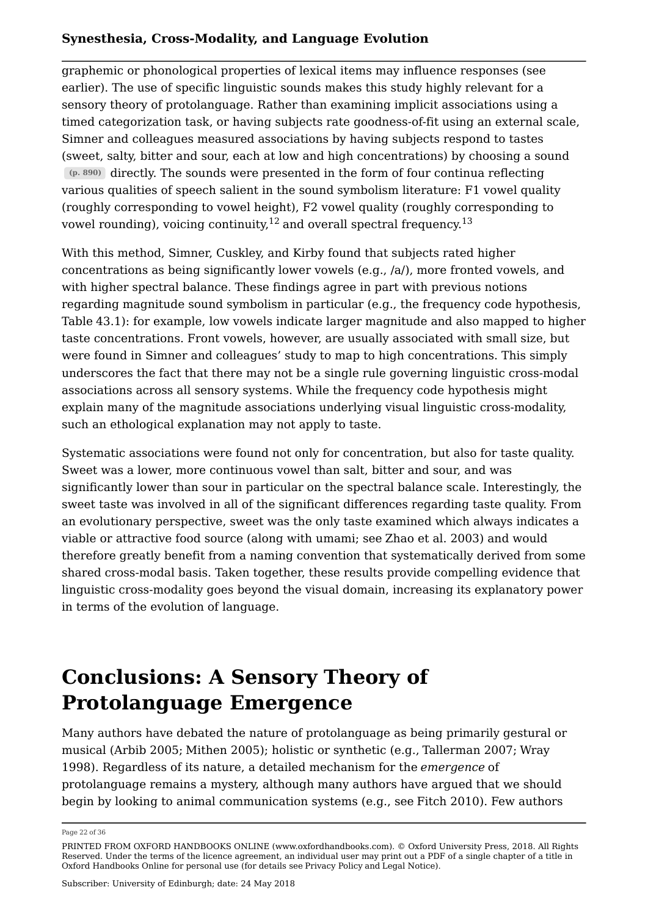graphemic or phonological properties of lexical items may influence responses (see earlier). The use of specific linguistic sounds makes this study highly relevant for a sensory theory of protolanguage. Rather than examining implicit associations using a timed categorization task, or having subjects rate goodness-of-fit using an external scale, Simner and colleagues measured associations by having subjects respond to tastes (sweet, salty, bitter and sour, each at low and high concentrations) by choosing a sound directly. The sounds were presented in the form of four continua reflecting **(p. 890)** various qualities of speech salient in the sound symbolism literature: F1 vowel quality (roughly corresponding to vowel height), F2 vowel quality (roughly corresponding to vowel rounding), voicing continuity, $^{12}$  and overall spectral frequency. $^{13}$ 

With this method, Simner, Cuskley, and Kirby found that subjects rated higher concentrations as being significantly lower vowels (e.g., /a/), more fronted vowels, and with higher spectral balance. These findings agree in part with previous notions regarding magnitude sound symbolism in particular (e.g., the frequency code hypothesis, Table 43.1): for example, low vowels indicate larger magnitude and also mapped to higher taste concentrations. Front vowels, however, are usually associated with small size, but were found in Simner and colleagues' study to map to high concentrations. This simply underscores the fact that there may not be a single rule governing linguistic cross-modal associations across all sensory systems. While the frequency code hypothesis might explain many of the magnitude associations underlying visual linguistic cross-modality, such an ethological explanation may not apply to taste.

Systematic associations were found not only for concentration, but also for taste quality. Sweet was a lower, more continuous vowel than salt, bitter and sour, and was significantly lower than sour in particular on the spectral balance scale. Interestingly, the sweet taste was involved in all of the significant differences regarding taste quality. From an evolutionary perspective, sweet was the only taste examined which always indicates a viable or attractive food source (along with umami; see Zhao et al. 2003) and would therefore greatly benefit from a naming convention that systematically derived from some shared cross-modal basis. Taken together, these results provide compelling evidence that linguistic cross-modality goes beyond the visual domain, increasing its explanatory power in terms of the evolution of language.

# **Conclusions: A Sensory Theory of Protolanguage Emergence**

Many authors have debated the nature of protolanguage as being primarily gestural or musical (Arbib 2005; Mithen 2005); holistic or synthetic (e.g., Tallerman 2007; Wray 1998). Regardless of its nature, a detailed mechanism for the *emergence* of protolanguage remains a mystery, although many authors have argued that we should begin by looking to animal communication systems (e.g., see Fitch 2010). Few authors

Page 22 of 36

PRINTED FROM OXFORD HANDBOOKS ONLINE (www.oxfordhandbooks.com). © Oxford University Press, 2018. All Rights Reserved. Under the terms of the licence agreement, an individual user may print out a PDF of a single chapter of a title in Oxford Handbooks Online for personal use (for details see Privacy Policy and Legal Notice).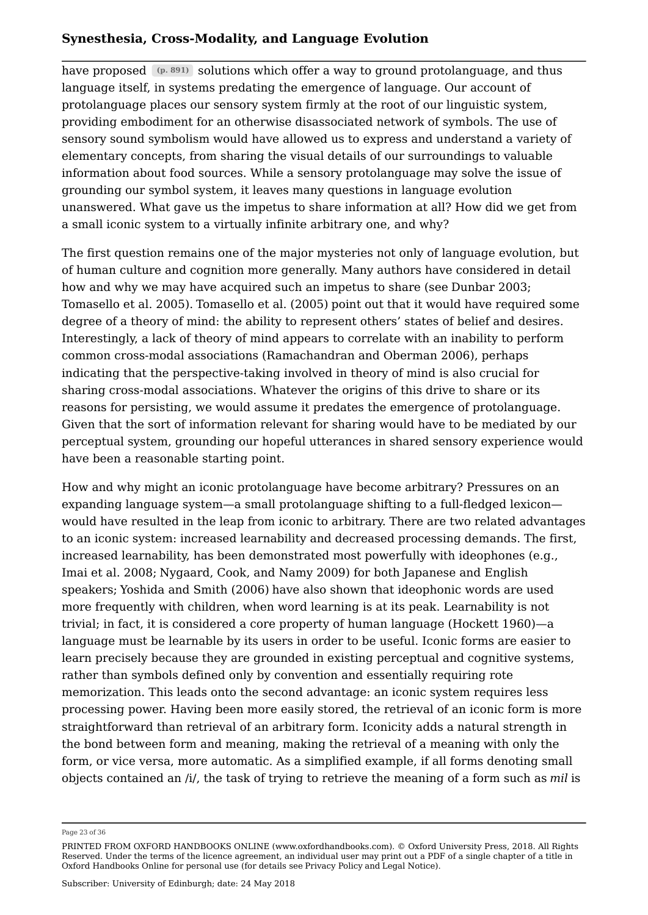have proposed  $(p. 891)$  solutions which offer a way to ground protolanguage, and thus language itself, in systems predating the emergence of language. Our account of protolanguage places our sensory system firmly at the root of our linguistic system, providing embodiment for an otherwise disassociated network of symbols. The use of sensory sound symbolism would have allowed us to express and understand a variety of elementary concepts, from sharing the visual details of our surroundings to valuable information about food sources. While a sensory protolanguage may solve the issue of grounding our symbol system, it leaves many questions in language evolution unanswered. What gave us the impetus to share information at all? How did we get from a small iconic system to a virtually infinite arbitrary one, and why?

The first question remains one of the major mysteries not only of language evolution, but of human culture and cognition more generally. Many authors have considered in detail how and why we may have acquired such an impetus to share (see Dunbar 2003; Tomasello et al. 2005). Tomasello et al. (2005) point out that it would have required some degree of a theory of mind: the ability to represent others' states of belief and desires. Interestingly, a lack of theory of mind appears to correlate with an inability to perform common cross-modal associations (Ramachandran and Oberman 2006), perhaps indicating that the perspective-taking involved in theory of mind is also crucial for sharing cross-modal associations. Whatever the origins of this drive to share or its reasons for persisting, we would assume it predates the emergence of protolanguage. Given that the sort of information relevant for sharing would have to be mediated by our perceptual system, grounding our hopeful utterances in shared sensory experience would have been a reasonable starting point.

How and why might an iconic protolanguage have become arbitrary? Pressures on an expanding language system—a small protolanguage shifting to a full-fledged lexicon would have resulted in the leap from iconic to arbitrary. There are two related advantages to an iconic system: increased learnability and decreased processing demands. The first, increased learnability, has been demonstrated most powerfully with ideophones (e.g., Imai et al. 2008; Nygaard, Cook, and Namy 2009) for both Japanese and English speakers; Yoshida and Smith (2006) have also shown that ideophonic words are used more frequently with children, when word learning is at its peak. Learnability is not trivial; in fact, it is considered a core property of human language (Hockett 1960)—a language must be learnable by its users in order to be useful. Iconic forms are easier to learn precisely because they are grounded in existing perceptual and cognitive systems, rather than symbols defined only by convention and essentially requiring rote memorization. This leads onto the second advantage: an iconic system requires less processing power. Having been more easily stored, the retrieval of an iconic form is more straightforward than retrieval of an arbitrary form. Iconicity adds a natural strength in the bond between form and meaning, making the retrieval of a meaning with only the form, or vice versa, more automatic. As a simplified example, if all forms denoting small objects contained an /i/, the task of trying to retrieve the meaning of a form such as *mil* is

Page 23 of 36

PRINTED FROM OXFORD HANDBOOKS ONLINE (www.oxfordhandbooks.com). © Oxford University Press, 2018. All Rights Reserved. Under the terms of the licence agreement, an individual user may print out a PDF of a single chapter of a title in Oxford Handbooks Online for personal use (for details see Privacy Policy and Legal Notice).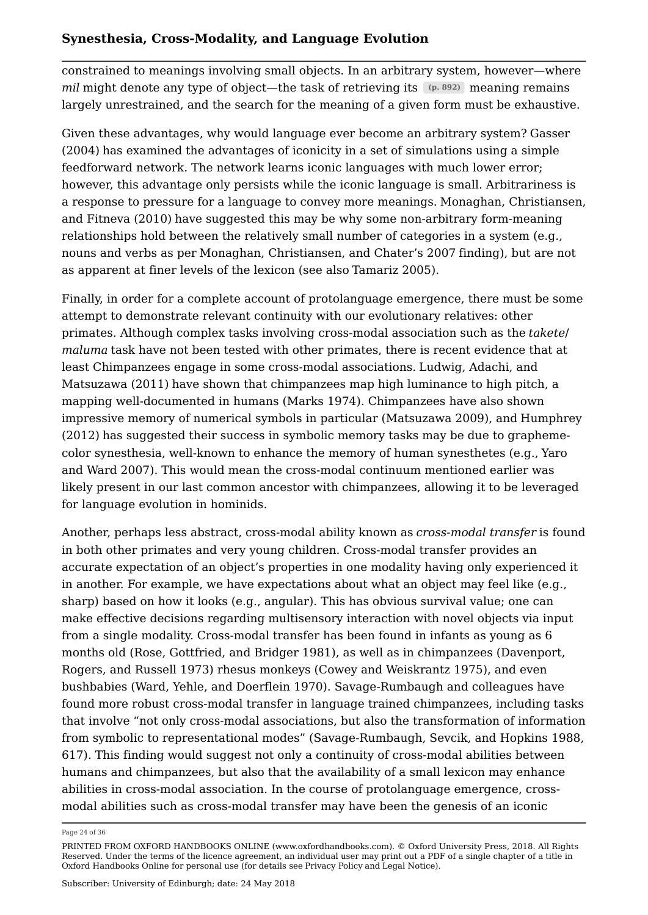constrained to meanings involving small objects. In an arbitrary system, however—where *mil* might denote any type of object—the task of retrieving its (p. 892) meaning remains largely unrestrained, and the search for the meaning of a given form must be exhaustive.

Given these advantages, why would language ever become an arbitrary system? Gasser (2004) has examined the advantages of iconicity in a set of simulations using a simple feedforward network. The network learns iconic languages with much lower error; however, this advantage only persists while the iconic language is small. Arbitrariness is a response to pressure for a language to convey more meanings. Monaghan, Christiansen, and Fitneva (2010) have suggested this may be why some non-arbitrary form-meaning relationships hold between the relatively small number of categories in a system (e.g., nouns and verbs as per Monaghan, Christiansen, and Chater's 2007 finding), but are not as apparent at finer levels of the lexicon (see also Tamariz 2005).

Finally, in order for a complete account of protolanguage emergence, there must be some attempt to demonstrate relevant continuity with our evolutionary relatives: other primates. Although complex tasks involving cross-modal association such as the *takete*/ *maluma* task have not been tested with other primates, there is recent evidence that at least Chimpanzees engage in some cross-modal associations. Ludwig, Adachi, and Matsuzawa (2011) have shown that chimpanzees map high luminance to high pitch, a mapping well-documented in humans (Marks 1974). Chimpanzees have also shown impressive memory of numerical symbols in particular (Matsuzawa 2009), and Humphrey (2012) has suggested their success in symbolic memory tasks may be due to graphemecolor synesthesia, well-known to enhance the memory of human synesthetes (e.g., Yaro and Ward 2007). This would mean the cross-modal continuum mentioned earlier was likely present in our last common ancestor with chimpanzees, allowing it to be leveraged for language evolution in hominids.

Another, perhaps less abstract, cross-modal ability known as *cross-modal transfer* is found in both other primates and very young children. Cross-modal transfer provides an accurate expectation of an object's properties in one modality having only experienced it in another. For example, we have expectations about what an object may feel like  $(e.g.,)$ sharp) based on how it looks (e.g., angular). This has obvious survival value; one can make effective decisions regarding multisensory interaction with novel objects via input from a single modality. Cross-modal transfer has been found in infants as young as 6 months old (Rose, Gottfried, and Bridger 1981), as well as in chimpanzees (Davenport, Rogers, and Russell 1973) rhesus monkeys (Cowey and Weiskrantz 1975), and even bushbabies (Ward, Yehle, and Doerflein 1970). Savage-Rumbaugh and colleagues have found more robust cross-modal transfer in language trained chimpanzees, including tasks that involve "not only cross-modal associations, but also the transformation of information from symbolic to representational modes" (Savage-Rumbaugh, Sevcik, and Hopkins 1988, 617). This finding would suggest not only a continuity of cross-modal abilities between humans and chimpanzees, but also that the availability of a small lexicon may enhance abilities in cross-modal association. In the course of protolanguage emergence, crossmodal abilities such as cross-modal transfer may have been the genesis of an iconic

Page 24 of 36

PRINTED FROM OXFORD HANDBOOKS ONLINE (www.oxfordhandbooks.com). © Oxford University Press, 2018. All Rights Reserved. Under the terms of the licence agreement, an individual user may print out a PDF of a single chapter of a title in Oxford Handbooks Online for personal use (for details see Privacy Policy and Legal Notice).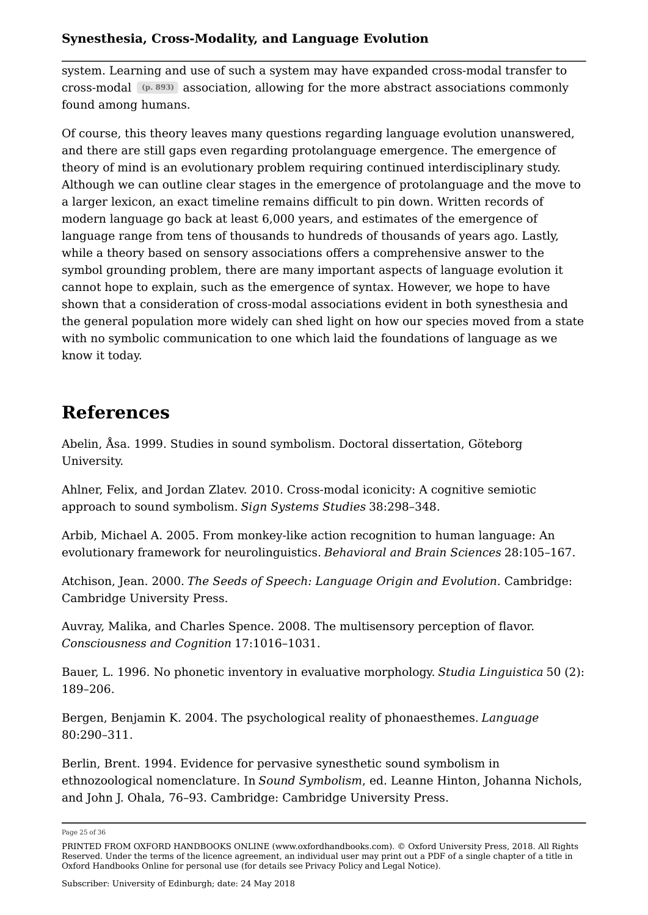system. Learning and use of such a system may have expanded cross-modal transfer to cross-modal  $(p. 893)$  association, allowing for the more abstract associations commonly found among humans.

Of course, this theory leaves many questions regarding language evolution unanswered, and there are still gaps even regarding protolanguage emergence. The emergence of theory of mind is an evolutionary problem requiring continued interdisciplinary study. Although we can outline clear stages in the emergence of protolanguage and the move to a larger lexicon, an exact timeline remains difficult to pin down. Written records of modern language go back at least 6,000 years, and estimates of the emergence of language range from tens of thousands to hundreds of thousands of years ago. Lastly, while a theory based on sensory associations offers a comprehensive answer to the symbol grounding problem, there are many important aspects of language evolution it cannot hope to explain, such as the emergence of syntax. However, we hope to have shown that a consideration of cross-modal associations evident in both synesthesia and the general population more widely can shed light on how our species moved from a state with no symbolic communication to one which laid the foundations of language as we know it today.

# **References**

Abelin, Åsa. 1999. Studies in sound symbolism. Doctoral dissertation, Göteborg University.

Ahlner, Felix, and Jordan Zlatev. 2010. Cross-modal iconicity: A cognitive semiotic approach to sound symbolism. *Sign Systems Studies* 38:298–348.

Arbib, Michael A. 2005. From monkey-like action recognition to human language: An evolutionary framework for neurolinguistics. *Behavioral and Brain Sciences* 28:105–167.

Atchison, Jean. 2000. *The Seeds of Speech: Language Origin and Evolution*. Cambridge: Cambridge University Press.

Auvray, Malika, and Charles Spence. 2008. The multisensory perception of flavor. *Consciousness and Cognition* 17:1016–1031.

Bauer, L. 1996. No phonetic inventory in evaluative morphology. *Studia Linguistica* 50 (2): 189–206.

Bergen, Benjamin K. 2004. The psychological reality of phonaesthemes. *Language* 80:290–311.

Berlin, Brent. 1994. Evidence for pervasive synesthetic sound symbolism in ethnozoological nomenclature. In *Sound Symbolism*, ed. Leanne Hinton, Johanna Nichols, and John J. Ohala, 76–93. Cambridge: Cambridge University Press.

Page 25 of 36

PRINTED FROM OXFORD HANDBOOKS ONLINE (www.oxfordhandbooks.com). © Oxford University Press, 2018. All Rights Reserved. Under the terms of the licence agreement, an individual user may print out a PDF of a single chapter of a title in Oxford Handbooks Online for personal use (for details see Privacy Policy and Legal Notice).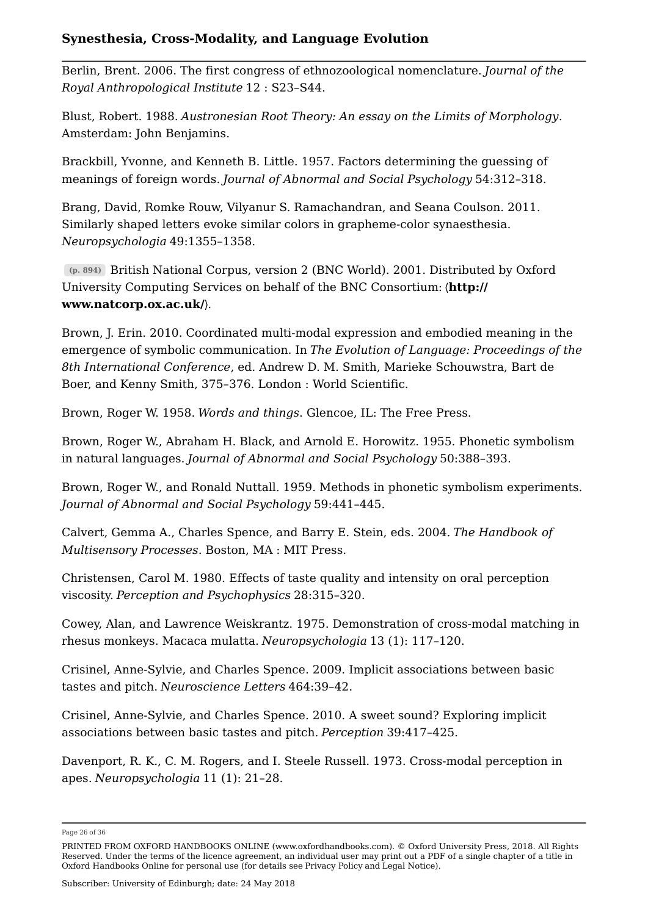Berlin, Brent. 2006. The first congress of ethnozoological nomenclature. *Journal of the Royal Anthropological Institute* 12 : S23–S44.

Blust, Robert. 1988. *Austronesian Root Theory: An essay on the Limits of Morphology*. Amsterdam: John Benjamins.

Brackbill, Yvonne, and Kenneth B. Little. 1957. Factors determining the guessing of meanings of foreign words. *Journal of Abnormal and Social Psychology* 54:312–318.

Brang, David, Romke Rouw, Vilyanur S. Ramachandran, and Seana Coulson. 2011. Similarly shaped letters evoke similar colors in grapheme-color synaesthesia. *Neuropsychologia* 49:1355–1358.

British National Corpus, version 2 (BNC World). 2001. Distributed by Oxford **(p. 894)** University Computing Services on behalf of the BNC Consortium: 〈**http:// www.natcorp.ox.ac.uk/**〉.

Brown, J. Erin. 2010. Coordinated multi-modal expression and embodied meaning in the emergence of symbolic communication. In *The Evolution of Language: Proceedings of the 8th International Conference*, ed. Andrew D. M. Smith, Marieke Schouwstra, Bart de Boer, and Kenny Smith, 375–376. London : World Scientific.

Brown, Roger W. 1958. *Words and things*. Glencoe, IL: The Free Press.

Brown, Roger W., Abraham H. Black, and Arnold E. Horowitz. 1955. Phonetic symbolism in natural languages. *Journal of Abnormal and Social Psychology* 50:388–393.

Brown, Roger W., and Ronald Nuttall. 1959. Methods in phonetic symbolism experiments. *Journal of Abnormal and Social Psychology* 59:441–445.

Calvert, Gemma A., Charles Spence, and Barry E. Stein, eds. 2004. *The Handbook of Multisensory Processes*. Boston, MA : MIT Press.

Christensen, Carol M. 1980. Effects of taste quality and intensity on oral perception viscosity. *Perception and Psychophysics* 28:315–320.

Cowey, Alan, and Lawrence Weiskrantz. 1975. Demonstration of cross-modal matching in rhesus monkeys. Macaca mulatta. *Neuropsychologia* 13 (1): 117–120.

Crisinel, Anne-Sylvie, and Charles Spence. 2009. Implicit associations between basic tastes and pitch. *Neuroscience Letters* 464:39–42.

Crisinel, Anne-Sylvie, and Charles Spence. 2010. A sweet sound? Exploring implicit associations between basic tastes and pitch. *Perception* 39:417–425.

Davenport, R. K., C. M. Rogers, and I. Steele Russell. 1973. Cross-modal perception in apes. *Neuropsychologia* 11 (1): 21–28.

Page 26 of 36

PRINTED FROM OXFORD HANDBOOKS ONLINE (www.oxfordhandbooks.com). © Oxford University Press, 2018. All Rights Reserved. Under the terms of the licence agreement, an individual user may print out a PDF of a single chapter of a title in Oxford Handbooks Online for personal use (for details see Privacy Policy and Legal Notice).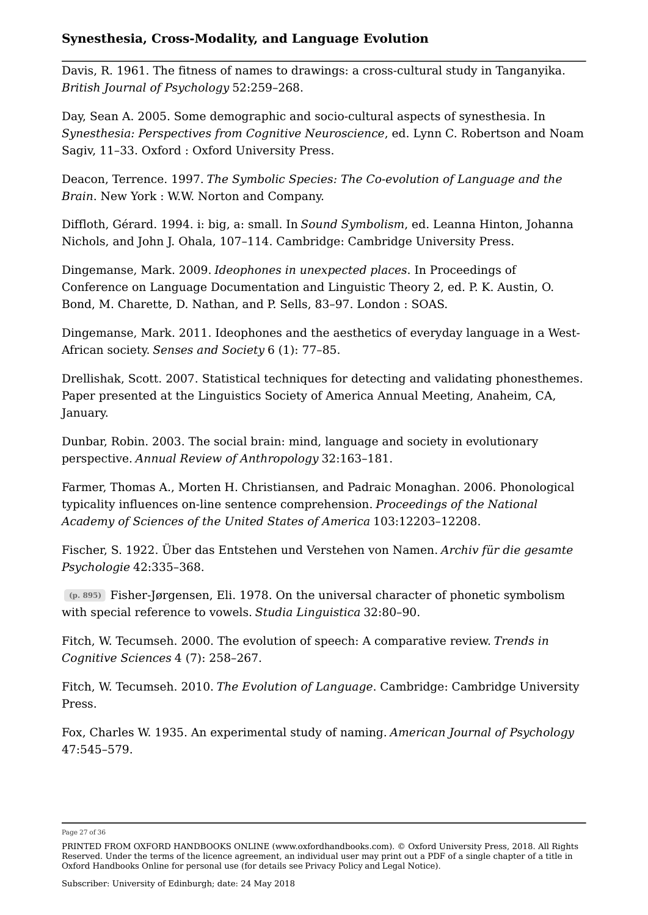Davis, R. 1961. The fitness of names to drawings: a cross-cultural study in Tanganyika. *British Journal of Psychology* 52:259–268.

Day, Sean A. 2005. Some demographic and socio-cultural aspects of synesthesia. In *Synesthesia: Perspectives from Cognitive Neuroscience*, ed. Lynn C. Robertson and Noam Sagiv, 11–33. Oxford : Oxford University Press.

Deacon, Terrence. 1997. *The Symbolic Species: The Co-evolution of Language and the Brain*. New York : W.W. Norton and Company.

Diffloth, Gérard. 1994. i: big, a: small. In *Sound Symbolism*, ed. Leanna Hinton, Johanna Nichols, and John J. Ohala, 107–114. Cambridge: Cambridge University Press.

Dingemanse, Mark. 2009. *Ideophones in unexpected places*. In Proceedings of Conference on Language Documentation and Linguistic Theory 2, ed. P. K. Austin, O. Bond, M. Charette, D. Nathan, and P. Sells, 83–97. London : SOAS.

Dingemanse, Mark. 2011. Ideophones and the aesthetics of everyday language in a West-African society. *Senses and Society* 6 (1): 77–85.

Drellishak, Scott. 2007. Statistical techniques for detecting and validating phonesthemes. Paper presented at the Linguistics Society of America Annual Meeting, Anaheim, CA, January.

Dunbar, Robin. 2003. The social brain: mind, language and society in evolutionary perspective. *Annual Review of Anthropology* 32:163–181.

Farmer, Thomas A., Morten H. Christiansen, and Padraic Monaghan. 2006. Phonological typicality influences on-line sentence comprehension. *Proceedings of the National Academy of Sciences of the United States of America* 103:12203–12208.

Fischer, S. 1922. Über das Entstehen und Verstehen von Namen. *Archiv für die gesamte Psychologie* 42:335–368.

Fisher-Jørgensen, Eli. 1978. On the universal character of phonetic symbolism **(p. 895)** with special reference to vowels. *Studia Linguistica* 32:80–90.

Fitch, W. Tecumseh. 2000. The evolution of speech: A comparative review. *Trends in Cognitive Sciences* 4 (7): 258–267.

Fitch, W. Tecumseh. 2010. *The Evolution of Language*. Cambridge: Cambridge University Press.

Fox, Charles W. 1935. An experimental study of naming. *American Journal of Psychology* 47:545–579.

Page 27 of 36

PRINTED FROM OXFORD HANDBOOKS ONLINE (www.oxfordhandbooks.com). © Oxford University Press, 2018. All Rights Reserved. Under the terms of the licence agreement, an individual user may print out a PDF of a single chapter of a title in Oxford Handbooks Online for personal use (for details see Privacy Policy and Legal Notice).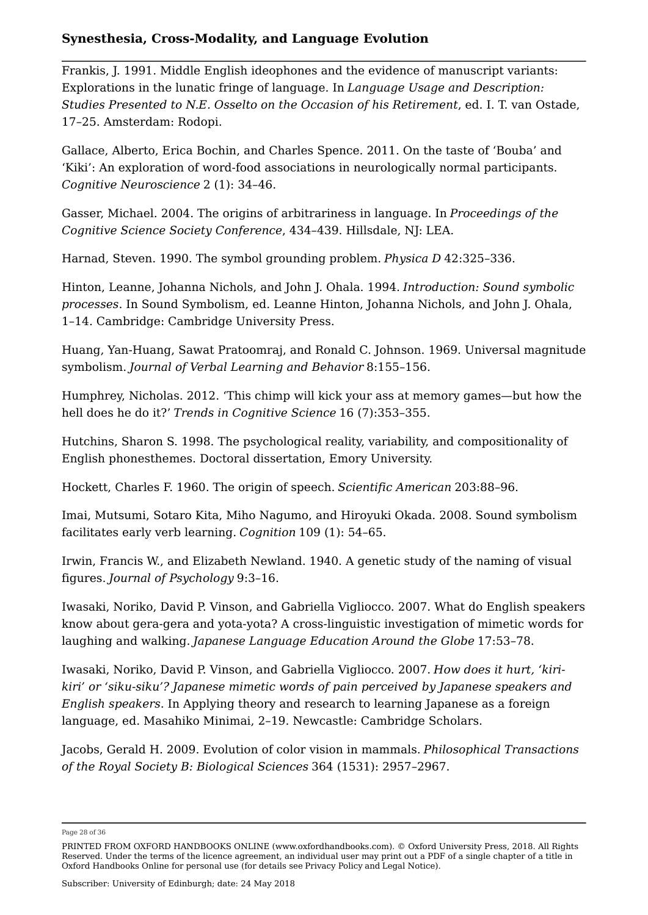Frankis, J. 1991. Middle English ideophones and the evidence of manuscript variants: Explorations in the lunatic fringe of language. In *Language Usage and Description: Studies Presented to N.E. Osselto on the Occasion of his Retirement*, ed. I. T. van Ostade, 17–25. Amsterdam: Rodopi.

Gallace, Alberto, Erica Bochin, and Charles Spence. 2011. On the taste of 'Bouba' and 'Kiki': An exploration of word-food associations in neurologically normal participants. *Cognitive Neuroscience* 2 (1): 34–46.

Gasser, Michael. 2004. The origins of arbitrariness in language. In *Proceedings of the Cognitive Science Society Conference*, 434–439. Hillsdale, NJ: LEA.

Harnad, Steven. 1990. The symbol grounding problem. *Physica D* 42:325–336.

Hinton, Leanne, Johanna Nichols, and John J. Ohala. 1994. *Introduction: Sound symbolic processes*. In Sound Symbolism, ed. Leanne Hinton, Johanna Nichols, and John J. Ohala, 1–14. Cambridge: Cambridge University Press.

Huang, Yan-Huang, Sawat Pratoomraj, and Ronald C. Johnson. 1969. Universal magnitude symbolism. *Journal of Verbal Learning and Behavior* 8:155–156.

Humphrey, Nicholas. 2012. 'This chimp will kick your ass at memory games—but how the hell does he do it?' *Trends in Cognitive Science* 16 (7):353–355.

Hutchins, Sharon S. 1998. The psychological reality, variability, and compositionality of English phonesthemes. Doctoral dissertation, Emory University.

Hockett, Charles F. 1960. The origin of speech. *Scientific American* 203:88–96.

Imai, Mutsumi, Sotaro Kita, Miho Nagumo, and Hiroyuki Okada. 2008. Sound symbolism facilitates early verb learning. *Cognition* 109 (1): 54–65.

Irwin, Francis W., and Elizabeth Newland. 1940. A genetic study of the naming of visual figures. *Journal of Psychology* 9:3–16.

Iwasaki, Noriko, David P. Vinson, and Gabriella Vigliocco. 2007. What do English speakers know about gera-gera and yota-yota? A cross-linguistic investigation of mimetic words for laughing and walking. *Japanese Language Education Around the Globe* 17:53–78.

Iwasaki, Noriko, David P. Vinson, and Gabriella Vigliocco. 2007. *How does it hurt, 'kirikiri' or 'siku-siku'? Japanese mimetic words of pain perceived by Japanese speakers and English speakers*. In Applying theory and research to learning Japanese as a foreign language, ed. Masahiko Minimai, 2–19. Newcastle: Cambridge Scholars.

Jacobs, Gerald H. 2009. Evolution of color vision in mammals. *Philosophical Transactions of the Royal Society B: Biological Sciences* 364 (1531): 2957–2967.

Page 28 of 36

PRINTED FROM OXFORD HANDBOOKS ONLINE (www.oxfordhandbooks.com). © Oxford University Press, 2018. All Rights Reserved. Under the terms of the licence agreement, an individual user may print out a PDF of a single chapter of a title in Oxford Handbooks Online for personal use (for details see Privacy Policy and Legal Notice).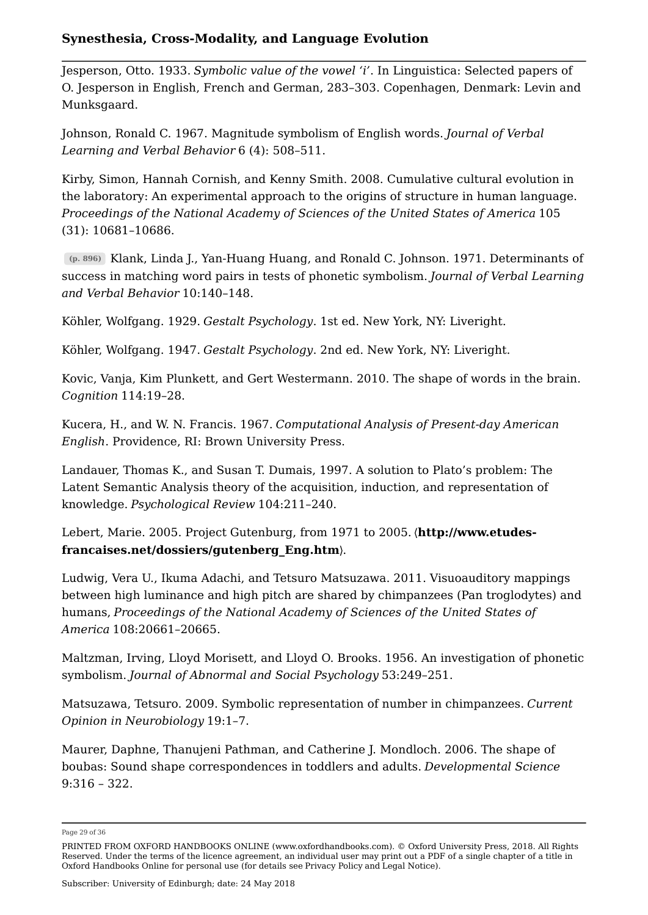Jesperson, Otto. 1933. *Symbolic value of the vowel 'i'*. In Linguistica: Selected papers of O. Jesperson in English, French and German, 283–303. Copenhagen, Denmark: Levin and Munksgaard.

Johnson, Ronald C. 1967. Magnitude symbolism of English words. *Journal of Verbal Learning and Verbal Behavior* 6 (4): 508–511.

Kirby, Simon, Hannah Cornish, and Kenny Smith. 2008. Cumulative cultural evolution in the laboratory: An experimental approach to the origins of structure in human language. *Proceedings of the National Academy of Sciences of the United States of America* 105 (31): 10681–10686.

Klank, Linda J., Yan-Huang Huang, and Ronald C. Johnson. 1971. Determinants of **(p. 896)** success in matching word pairs in tests of phonetic symbolism. *Journal of Verbal Learning and Verbal Behavior* 10:140–148.

Köhler, Wolfgang. 1929. *Gestalt Psychology*. 1st ed. New York, NY: Liveright.

Köhler, Wolfgang. 1947. *Gestalt Psychology*. 2nd ed. New York, NY: Liveright.

Kovic, Vanja, Kim Plunkett, and Gert Westermann. 2010. The shape of words in the brain. *Cognition* 114:19–28.

Kucera, H., and W. N. Francis. 1967. *Computational Analysis of Present-day American English*. Providence, RI: Brown University Press.

Landauer, Thomas K., and Susan T. Dumais, 1997. A solution to Plato's problem: The Latent Semantic Analysis theory of the acquisition, induction, and representation of knowledge. *Psychological Review* 104:211–240.

Lebert, Marie. 2005. Project Gutenburg, from 1971 to 2005. 〈**http://www.etudesfrancaises.net/dossiers/gutenberg\_Eng.htm**〉.

Ludwig, Vera U., Ikuma Adachi, and Tetsuro Matsuzawa. 2011. Visuoauditory mappings between high luminance and high pitch are shared by chimpanzees (Pan troglodytes) and humans, *Proceedings of the National Academy of Sciences of the United States of America* 108:20661–20665.

Maltzman, Irving, Lloyd Morisett, and Lloyd O. Brooks. 1956. An investigation of phonetic symbolism. *Journal of Abnormal and Social Psychology* 53:249–251.

Matsuzawa, Tetsuro. 2009. Symbolic representation of number in chimpanzees. *Current Opinion in Neurobiology* 19:1–7.

Maurer, Daphne, Thanujeni Pathman, and Catherine J. Mondloch. 2006. The shape of boubas: Sound shape correspondences in toddlers and adults. *Developmental Science* 9:316 – 322.

Page 29 of 36

PRINTED FROM OXFORD HANDBOOKS ONLINE (www.oxfordhandbooks.com). © Oxford University Press, 2018. All Rights Reserved. Under the terms of the licence agreement, an individual user may print out a PDF of a single chapter of a title in Oxford Handbooks Online for personal use (for details see Privacy Policy and Legal Notice).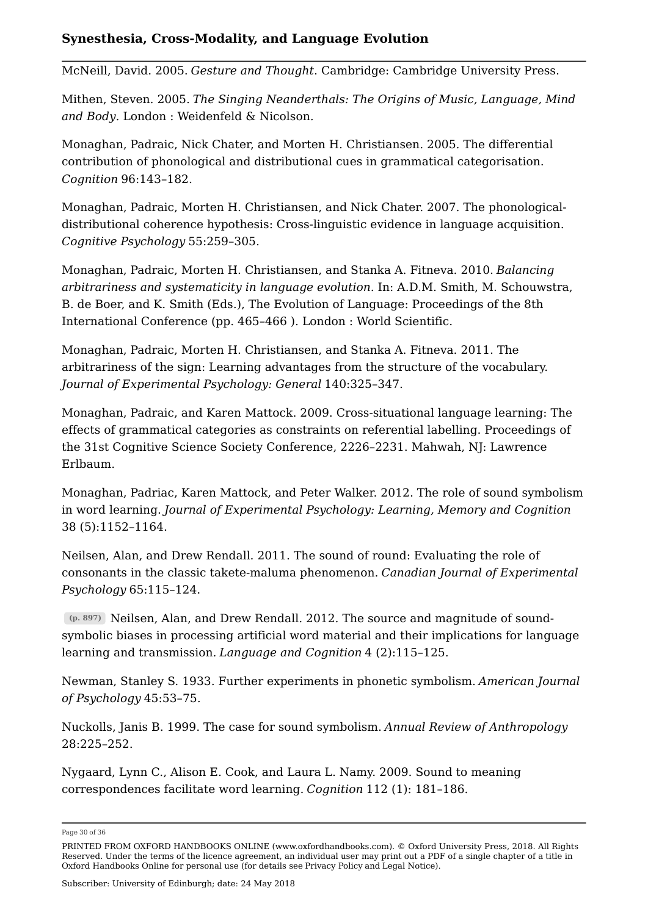McNeill, David. 2005. *Gesture and Thought*. Cambridge: Cambridge University Press.

Mithen, Steven. 2005. *The Singing Neanderthals: The Origins of Music, Language, Mind and Body*. London : Weidenfeld & Nicolson.

Monaghan, Padraic, Nick Chater, and Morten H. Christiansen. 2005. The differential contribution of phonological and distributional cues in grammatical categorisation. *Cognition* 96:143–182.

Monaghan, Padraic, Morten H. Christiansen, and Nick Chater. 2007. The phonologicaldistributional coherence hypothesis: Cross-linguistic evidence in language acquisition. *Cognitive Psychology* 55:259–305.

Monaghan, Padraic, Morten H. Christiansen, and Stanka A. Fitneva. 2010. *Balancing arbitrariness and systematicity in language evolution*. In: A.D.M. Smith, M. Schouwstra, B. de Boer, and K. Smith (Eds.), The Evolution of Language: Proceedings of the 8th International Conference (pp. 465–466 ). London : World Scientific.

Monaghan, Padraic, Morten H. Christiansen, and Stanka A. Fitneva. 2011. The arbitrariness of the sign: Learning advantages from the structure of the vocabulary. *Journal of Experimental Psychology: General* 140:325–347.

Monaghan, Padraic, and Karen Mattock. 2009. Cross-situational language learning: The effects of grammatical categories as constraints on referential labelling. Proceedings of the 31st Cognitive Science Society Conference, 2226–2231. Mahwah, NJ: Lawrence Erlbaum.

Monaghan, Padriac, Karen Mattock, and Peter Walker. 2012. The role of sound symbolism in word learning. *Journal of Experimental Psychology: Learning, Memory and Cognition* 38 (5):1152–1164.

Neilsen, Alan, and Drew Rendall. 2011. The sound of round: Evaluating the role of consonants in the classic takete-maluma phenomenon. *Canadian Journal of Experimental Psychology* 65:115–124.

Neilsen, Alan, and Drew Rendall. 2012. The source and magnitude of sound-**(p. 897)** symbolic biases in processing artificial word material and their implications for language learning and transmission. *Language and Cognition* 4 (2):115–125.

Newman, Stanley S. 1933. Further experiments in phonetic symbolism. *American Journal of Psychology* 45:53–75.

Nuckolls, Janis B. 1999. The case for sound symbolism. *Annual Review of Anthropology* 28:225–252.

Nygaard, Lynn C., Alison E. Cook, and Laura L. Namy. 2009. Sound to meaning correspondences facilitate word learning. *Cognition* 112 (1): 181–186.

Page 30 of 36

PRINTED FROM OXFORD HANDBOOKS ONLINE (www.oxfordhandbooks.com). © Oxford University Press, 2018. All Rights Reserved. Under the terms of the licence agreement, an individual user may print out a PDF of a single chapter of a title in Oxford Handbooks Online for personal use (for details see Privacy Policy and Legal Notice).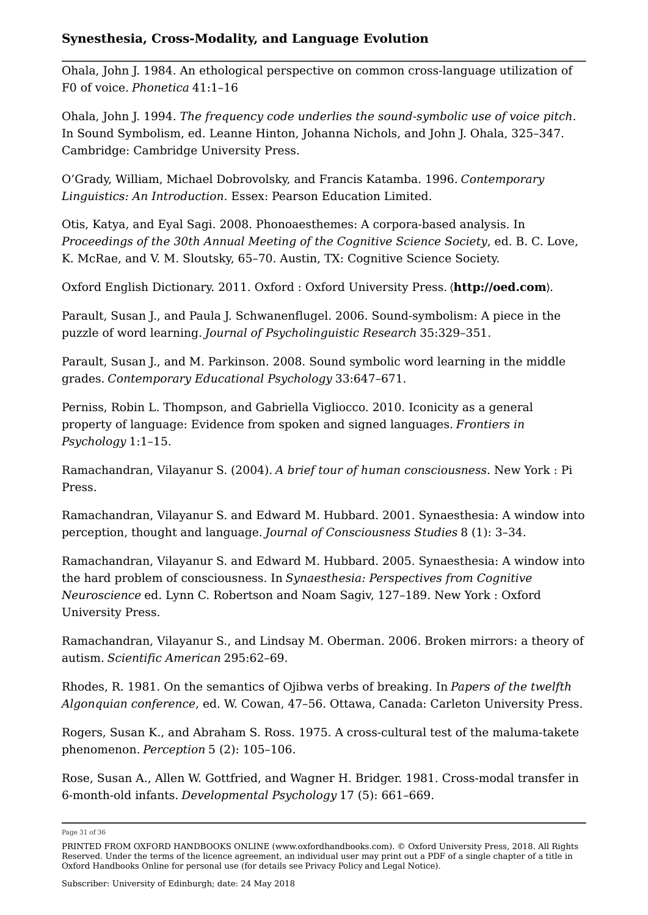Ohala, John J. 1984. An ethological perspective on common cross-language utilization of F0 of voice. *Phonetica* 41:1–16

Ohala, John J. 1994*. The frequency code underlies the sound-symbolic use of voice pitch*. In Sound Symbolism, ed. Leanne Hinton, Johanna Nichols, and John J. Ohala, 325–347. Cambridge: Cambridge University Press.

O'Grady, William, Michael Dobrovolsky, and Francis Katamba. 1996. *Contemporary Linguistics: An Introduction*. Essex: Pearson Education Limited.

Otis, Katya, and Eyal Sagi. 2008. Phonoaesthemes: A corpora-based analysis. In *Proceedings of the 30th Annual Meeting of the Cognitive Science Society*, ed. B. C. Love, K. McRae, and V. M. Sloutsky, 65–70. Austin, TX: Cognitive Science Society.

Oxford English Dictionary. 2011. Oxford : Oxford University Press. 〈**http://oed.com**〉.

Parault, Susan J., and Paula J. Schwanenflugel. 2006. Sound-symbolism: A piece in the puzzle of word learning. *Journal of Psycholinguistic Research* 35:329–351.

Parault, Susan J., and M. Parkinson. 2008. Sound symbolic word learning in the middle grades. *Contemporary Educational Psychology* 33:647–671.

Perniss, Robin L. Thompson, and Gabriella Vigliocco. 2010. Iconicity as a general property of language: Evidence from spoken and signed languages. *Frontiers in Psychology* 1:1–15.

Ramachandran, Vilayanur S. (2004). *A brief tour of human consciousness*. New York : Pi Press.

Ramachandran, Vilayanur S. and Edward M. Hubbard. 2001. Synaesthesia: A window into perception, thought and language. *Journal of Consciousness Studies* 8 (1): 3–34.

Ramachandran, Vilayanur S. and Edward M. Hubbard. 2005. Synaesthesia: A window into the hard problem of consciousness. In *Synaesthesia: Perspectives from Cognitive Neuroscience* ed. Lynn C. Robertson and Noam Sagiv, 127–189. New York : Oxford University Press.

Ramachandran, Vilayanur S., and Lindsay M. Oberman. 2006. Broken mirrors: a theory of autism. *Scientific American* 295:62–69.

Rhodes, R. 1981. On the semantics of Ojibwa verbs of breaking. In *Papers of the twelfth Algonquian conference*, ed. W. Cowan, 47–56. Ottawa, Canada: Carleton University Press.

Rogers, Susan K., and Abraham S. Ross. 1975. A cross-cultural test of the maluma-takete phenomenon. *Perception* 5 (2): 105–106.

Rose, Susan A., Allen W. Gottfried, and Wagner H. Bridger. 1981. Cross-modal transfer in 6-month-old infants. *Developmental Psychology* 17 (5): 661–669.

Page 31 of 36

PRINTED FROM OXFORD HANDBOOKS ONLINE (www.oxfordhandbooks.com). © Oxford University Press, 2018. All Rights Reserved. Under the terms of the licence agreement, an individual user may print out a PDF of a single chapter of a title in Oxford Handbooks Online for personal use (for details see Privacy Policy and Legal Notice).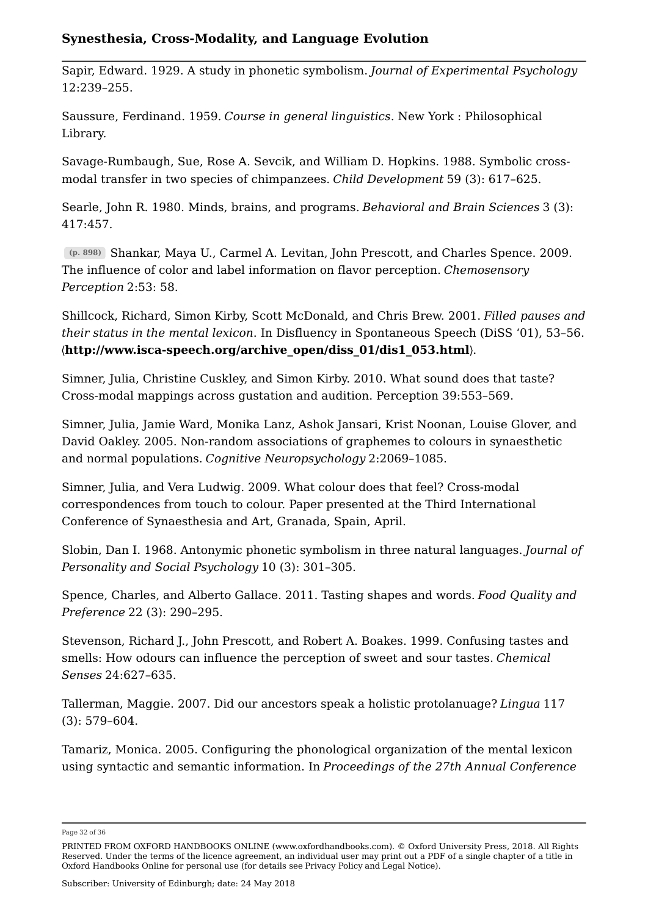Sapir, Edward. 1929. A study in phonetic symbolism. *Journal of Experimental Psychology* 12:239–255.

Saussure, Ferdinand. 1959. *Course in general linguistics*. New York : Philosophical Library.

Savage-Rumbaugh, Sue, Rose A. Sevcik, and William D. Hopkins. 1988. Symbolic crossmodal transfer in two species of chimpanzees. *Child Development* 59 (3): 617–625.

Searle, John R. 1980. Minds, brains, and programs. *Behavioral and Brain Sciences* 3 (3): 417:457.

Shankar, Maya U., Carmel A. Levitan, John Prescott, and Charles Spence. 2009. **(p. 898)** The influence of color and label information on flavor perception. *Chemosensory Perception* 2:53: 58.

Shillcock, Richard, Simon Kirby, Scott McDonald, and Chris Brew. 2001. *Filled pauses and their status in the mental lexicon*. In Disfluency in Spontaneous Speech (DiSS '01), 53–56. 〈**http://www.isca-speech.org/archive\_open/diss\_01/dis1\_053.html**〉.

Simner, Julia, Christine Cuskley, and Simon Kirby. 2010. What sound does that taste? Cross-modal mappings across gustation and audition. Perception 39:553–569.

Simner, Julia, Jamie Ward, Monika Lanz, Ashok Jansari, Krist Noonan, Louise Glover, and David Oakley. 2005. Non-random associations of graphemes to colours in synaesthetic and normal populations. *Cognitive Neuropsychology* 2:2069–1085.

Simner, Julia, and Vera Ludwig. 2009. What colour does that feel? Cross-modal correspondences from touch to colour. Paper presented at the Third International Conference of Synaesthesia and Art, Granada, Spain, April.

Slobin, Dan I. 1968. Antonymic phonetic symbolism in three natural languages. *Journal of Personality and Social Psychology* 10 (3): 301–305.

Spence, Charles, and Alberto Gallace. 2011. Tasting shapes and words. *Food Quality and Preference* 22 (3): 290–295.

Stevenson, Richard J., John Prescott, and Robert A. Boakes. 1999. Confusing tastes and smells: How odours can influence the perception of sweet and sour tastes. *Chemical Senses* 24:627–635.

Tallerman, Maggie. 2007. Did our ancestors speak a holistic protolanuage? *Lingua* 117 (3): 579–604.

Tamariz, Monica. 2005. Configuring the phonological organization of the mental lexicon using syntactic and semantic information. In *Proceedings of the 27th Annual Conference*

Page 32 of 36

PRINTED FROM OXFORD HANDBOOKS ONLINE (www.oxfordhandbooks.com). © Oxford University Press, 2018. All Rights Reserved. Under the terms of the licence agreement, an individual user may print out a PDF of a single chapter of a title in Oxford Handbooks Online for personal use (for details see Privacy Policy and Legal Notice).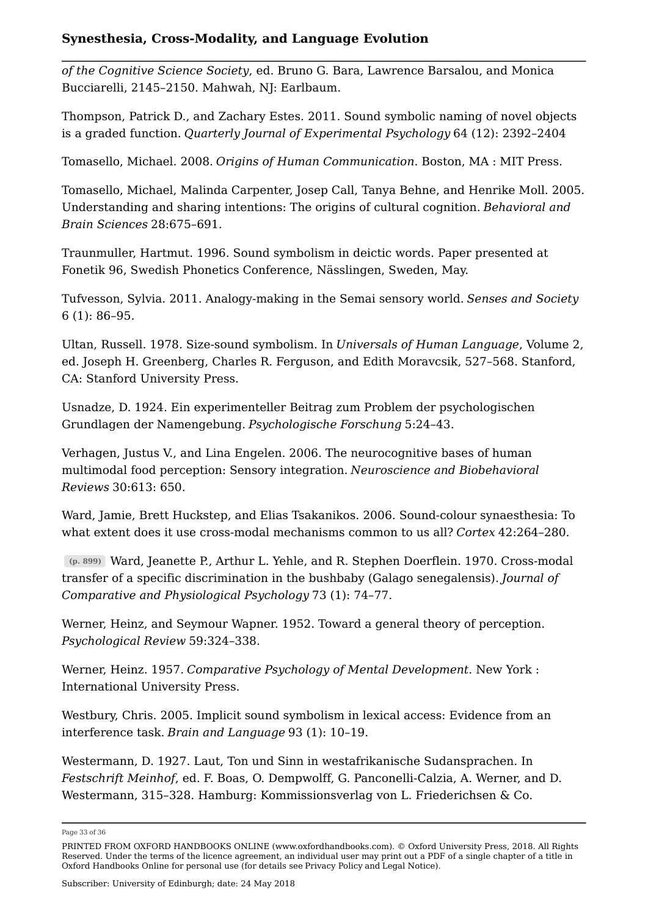*of the Cognitive Science Society*, ed. Bruno G. Bara, Lawrence Barsalou, and Monica Bucciarelli, 2145–2150. Mahwah, NJ: Earlbaum.

Thompson, Patrick D., and Zachary Estes. 2011. Sound symbolic naming of novel objects is a graded function. *Quarterly Journal of Experimental Psychology* 64 (12): 2392–2404

Tomasello, Michael. 2008. *Origins of Human Communication*. Boston, MA : MIT Press.

Tomasello, Michael, Malinda Carpenter, Josep Call, Tanya Behne, and Henrike Moll. 2005. Understanding and sharing intentions: The origins of cultural cognition. *Behavioral and Brain Sciences* 28:675–691.

Traunmuller, Hartmut. 1996. Sound symbolism in deictic words. Paper presented at Fonetik 96, Swedish Phonetics Conference, Nässlingen, Sweden, May.

Tufvesson, Sylvia. 2011. Analogy-making in the Semai sensory world. *Senses and Society* 6 (1): 86–95.

Ultan, Russell. 1978. Size-sound symbolism. In *Universals of Human Language*, Volume 2, ed. Joseph H. Greenberg, Charles R. Ferguson, and Edith Moravcsik, 527–568. Stanford, CA: Stanford University Press.

Usnadze, D. 1924. Ein experimenteller Beitrag zum Problem der psychologischen Grundlagen der Namengebung. *Psychologische Forschung* 5:24–43.

Verhagen, Justus V., and Lina Engelen. 2006. The neurocognitive bases of human multimodal food perception: Sensory integration. *Neuroscience and Biobehavioral Reviews* 30:613: 650.

Ward, Jamie, Brett Huckstep, and Elias Tsakanikos. 2006. Sound-colour synaesthesia: To what extent does it use cross-modal mechanisms common to us all? *Cortex* 42:264–280.

Ward, Jeanette P., Arthur L. Yehle, and R. Stephen Doerflein. 1970. Cross-modal **(p. 899)** transfer of a specific discrimination in the bushbaby (Galago senegalensis). *Journal of Comparative and Physiological Psychology* 73 (1): 74–77.

Werner, Heinz, and Seymour Wapner. 1952. Toward a general theory of perception. *Psychological Review* 59:324–338.

Werner, Heinz. 1957. *Comparative Psychology of Mental Development*. New York : International University Press.

Westbury, Chris. 2005. Implicit sound symbolism in lexical access: Evidence from an interference task. *Brain and Language* 93 (1): 10–19.

Westermann, D. 1927. Laut, Ton und Sinn in westafrikanische Sudansprachen. In *Festschrift Meinhof*, ed. F. Boas, O. Dempwolff, G. Panconelli-Calzia, A. Werner, and D. Westermann, 315–328. Hamburg: Kommissionsverlag von L. Friederichsen & Co.

Page 33 of 36

PRINTED FROM OXFORD HANDBOOKS ONLINE (www.oxfordhandbooks.com). © Oxford University Press, 2018. All Rights Reserved. Under the terms of the licence agreement, an individual user may print out a PDF of a single chapter of a title in Oxford Handbooks Online for personal use (for details see Privacy Policy and Legal Notice).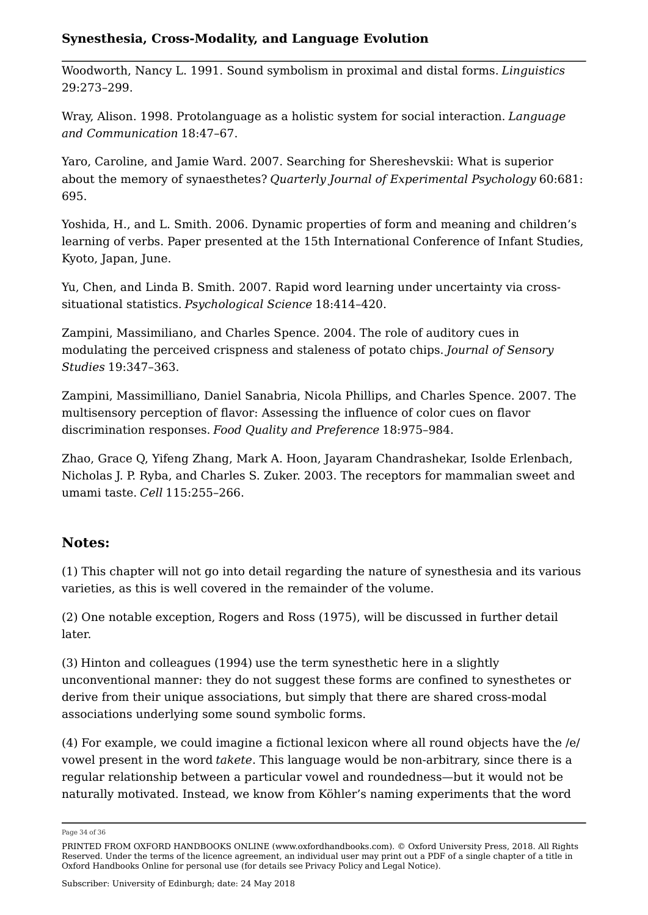Woodworth, Nancy L. 1991. Sound symbolism in proximal and distal forms. *Linguistics* 29:273–299.

Wray, Alison. 1998. Protolanguage as a holistic system for social interaction. *Language and Communication* 18:47–67.

Yaro, Caroline, and Jamie Ward. 2007. Searching for Shereshevskii: What is superior about the memory of synaesthetes? *Quarterly Journal of Experimental Psychology* 60:681: 695.

Yoshida, H., and L. Smith. 2006. Dynamic properties of form and meaning and children's learning of verbs. Paper presented at the 15th International Conference of Infant Studies, Kyoto, Japan, June.

Yu, Chen, and Linda B. Smith. 2007. Rapid word learning under uncertainty via crosssituational statistics. *Psychological Science* 18:414–420.

Zampini, Massimiliano, and Charles Spence. 2004. The role of auditory cues in modulating the perceived crispness and staleness of potato chips. *Journal of Sensory Studies* 19:347–363.

Zampini, Massimilliano, Daniel Sanabria, Nicola Phillips, and Charles Spence. 2007. The multisensory perception of flavor: Assessing the influence of color cues on flavor discrimination responses. *Food Quality and Preference* 18:975–984.

Zhao, Grace Q, Yifeng Zhang, Mark A. Hoon, Jayaram Chandrashekar, Isolde Erlenbach, Nicholas J. P. Ryba, and Charles S. Zuker. 2003. The receptors for mammalian sweet and umami taste. *Cell* 115:255–266.

# **Notes:**

(1) This chapter will not go into detail regarding the nature of synesthesia and its various varieties, as this is well covered in the remainder of the volume.

(2) One notable exception, Rogers and Ross (1975), will be discussed in further detail later.

(3) Hinton and colleagues (1994) use the term synesthetic here in a slightly unconventional manner: they do not suggest these forms are confined to synesthetes or derive from their unique associations, but simply that there are shared cross-modal associations underlying some sound symbolic forms.

(4) For example, we could imagine a fictional lexicon where all round objects have the /e/ vowel present in the word *takete*. This language would be non-arbitrary, since there is a regular relationship between a particular vowel and roundedness—but it would not be naturally motivated. Instead, we know from Köhler's naming experiments that the word

Page 34 of 36

PRINTED FROM OXFORD HANDBOOKS ONLINE (www.oxfordhandbooks.com). © Oxford University Press, 2018. All Rights Reserved. Under the terms of the licence agreement, an individual user may print out a PDF of a single chapter of a title in Oxford Handbooks Online for personal use (for details see Privacy Policy and Legal Notice).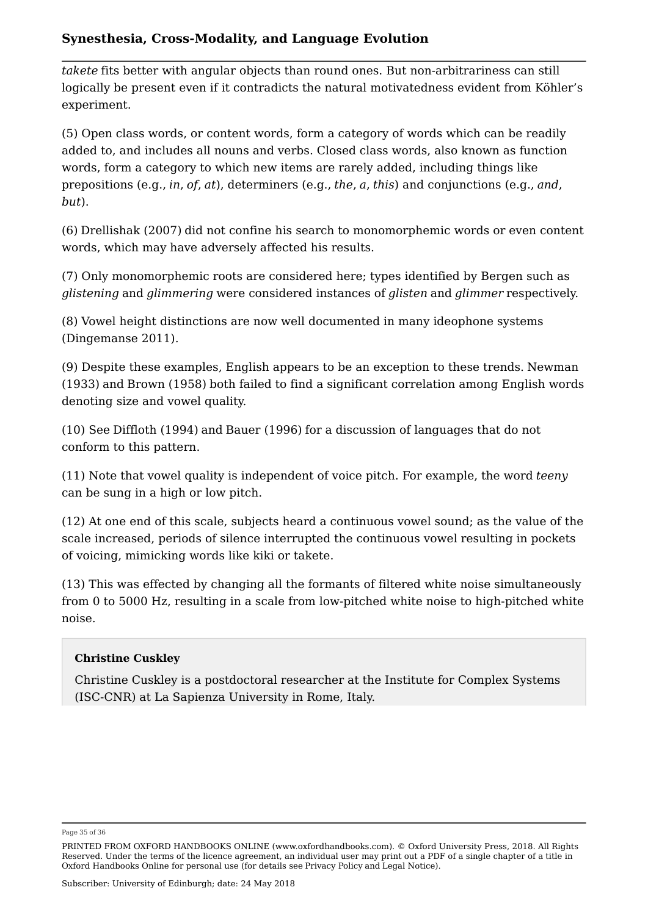*takete* fits better with angular objects than round ones. But non-arbitrariness can still logically be present even if it contradicts the natural motivatedness evident from Köhler's experiment.

(5) Open class words, or content words, form a category of words which can be readily added to, and includes all nouns and verbs. Closed class words, also known as function words, form a category to which new items are rarely added, including things like prepositions (e.g., *in*, *of*, *at*), determiners (e.g., *the*, *a*, *this*) and conjunctions (e.g., *and*, *but*).

(6) Drellishak (2007) did not confine his search to monomorphemic words or even content words, which may have adversely affected his results.

(7) Only monomorphemic roots are considered here; types identified by Bergen such as *glistening* and *glimmering* were considered instances of *glisten* and *glimmer* respectively.

(8) Vowel height distinctions are now well documented in many ideophone systems (Dingemanse 2011).

(9) Despite these examples, English appears to be an exception to these trends. Newman (1933) and Brown (1958) both failed to find a significant correlation among English words denoting size and vowel quality.

(10) See Diffloth (1994) and Bauer (1996) for a discussion of languages that do not conform to this pattern.

(11) Note that vowel quality is independent of voice pitch. For example, the word *teeny* can be sung in a high or low pitch.

(12) At one end of this scale, subjects heard a continuous vowel sound; as the value of the scale increased, periods of silence interrupted the continuous vowel resulting in pockets of voicing, mimicking words like kiki or takete.

(13) This was effected by changing all the formants of filtered white noise simultaneously from 0 to 5000 Hz, resulting in a scale from low-pitched white noise to high-pitched white noise.

#### **Christine Cuskley**

Christine Cuskley is a postdoctoral researcher at the Institute for Complex Systems (ISC-CNR) at La Sapienza University in Rome, Italy.

Page 35 of 36

PRINTED FROM OXFORD HANDBOOKS ONLINE (www.oxfordhandbooks.com). © Oxford University Press, 2018. All Rights Reserved. Under the terms of the licence agreement, an individual user may print out a PDF of a single chapter of a title in Oxford Handbooks Online for personal use (for details see Privacy Policy and Legal Notice).